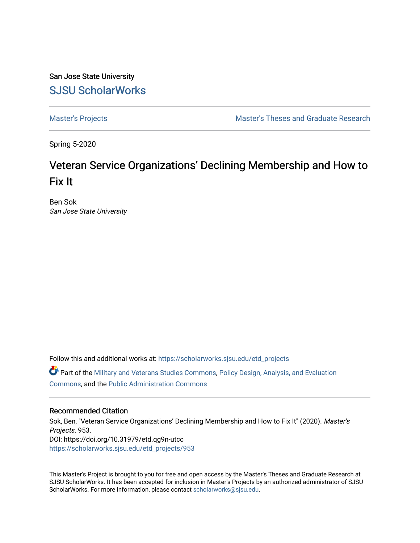San Jose State University [SJSU ScholarWorks](https://scholarworks.sjsu.edu/) 

[Master's Projects](https://scholarworks.sjsu.edu/etd_projects) [Master's Theses and Graduate Research](https://scholarworks.sjsu.edu/etd) 

Spring 5-2020

# Veteran Service Organizations' Declining Membership and How to Fix It

Ben Sok San Jose State University

Follow this and additional works at: [https://scholarworks.sjsu.edu/etd\\_projects](https://scholarworks.sjsu.edu/etd_projects?utm_source=scholarworks.sjsu.edu%2Fetd_projects%2F953&utm_medium=PDF&utm_campaign=PDFCoverPages) 

Part of the [Military and Veterans Studies Commons](http://network.bepress.com/hgg/discipline/396?utm_source=scholarworks.sjsu.edu%2Fetd_projects%2F953&utm_medium=PDF&utm_campaign=PDFCoverPages), [Policy Design, Analysis, and Evaluation](http://network.bepress.com/hgg/discipline/1032?utm_source=scholarworks.sjsu.edu%2Fetd_projects%2F953&utm_medium=PDF&utm_campaign=PDFCoverPages)  [Commons](http://network.bepress.com/hgg/discipline/1032?utm_source=scholarworks.sjsu.edu%2Fetd_projects%2F953&utm_medium=PDF&utm_campaign=PDFCoverPages), and the [Public Administration Commons](http://network.bepress.com/hgg/discipline/398?utm_source=scholarworks.sjsu.edu%2Fetd_projects%2F953&utm_medium=PDF&utm_campaign=PDFCoverPages) 

#### Recommended Citation

Sok, Ben, "Veteran Service Organizations' Declining Membership and How to Fix It" (2020). Master's Projects. 953. DOI: https://doi.org/10.31979/etd.qg9n-utcc [https://scholarworks.sjsu.edu/etd\\_projects/953](https://scholarworks.sjsu.edu/etd_projects/953?utm_source=scholarworks.sjsu.edu%2Fetd_projects%2F953&utm_medium=PDF&utm_campaign=PDFCoverPages) 

This Master's Project is brought to you for free and open access by the Master's Theses and Graduate Research at SJSU ScholarWorks. It has been accepted for inclusion in Master's Projects by an authorized administrator of SJSU ScholarWorks. For more information, please contact [scholarworks@sjsu.edu](mailto:scholarworks@sjsu.edu).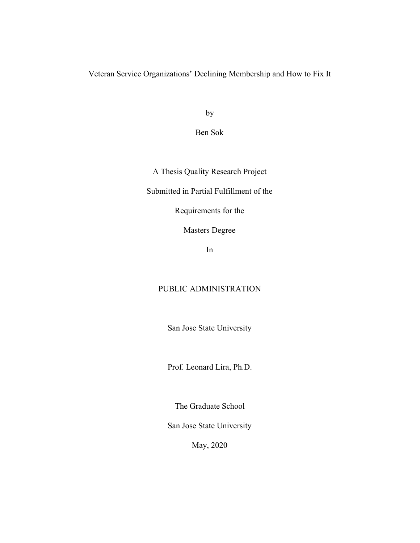Veteran Service Organizations' Declining Membership and How to Fix It

by

Ben Sok

A Thesis Quality Research Project

Submitted in Partial Fulfillment of the

Requirements for the

Masters Degree

In

# PUBLIC ADMINISTRATION

San Jose State University

Prof. Leonard Lira, Ph.D.

The Graduate School

San Jose State University

May, 2020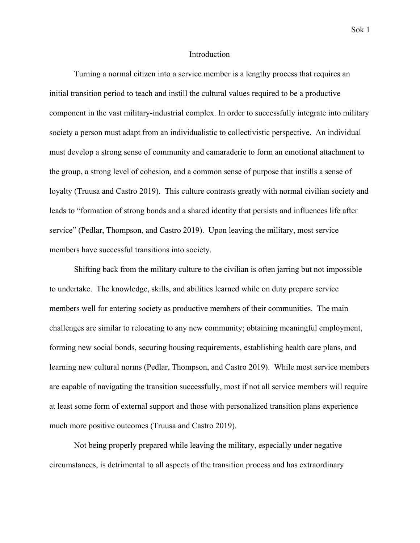#### Introduction

Turning a normal citizen into a service member is a lengthy process that requires an initial transition period to teach and instill the cultural values required to be a productive component in the vast military-industrial complex. In order to successfully integrate into military society a person must adapt from an individualistic to collectivistic perspective. An individual must develop a strong sense of community and camaraderie to form an emotional attachment to the group, a strong level of cohesion, and a common sense of purpose that instills a sense of loyalty [\(Truusa and Castro 2019\)](https://paperpile.com/c/N8yLl3/YLbQb). This culture contrasts greatly with normal civilian society and leads to "formation of strong bonds and a shared identity that persists and influences life after service" [\(Pedlar, Thompson, and Castro 2019\).](https://paperpile.com/c/N8yLl3/7jlyv) Upon leaving the military, most service members have successful transitions into society.

Shifting back from the military culture to the civilian is often jarring but not impossible to undertake. The knowledge, skills, and abilities learned while on duty prepare service members well for entering society as productive members of their communities. The main challenges are similar to relocating to any new community; obtaining meaningful employment, forming new social bonds, securing housing requirements, establishing health care plans, and learning new cultural norms [\(Pedlar, Thompson, and Castro 2019\).](https://paperpile.com/c/N8yLl3/7jlyv) While most service members are capable of navigating the transition successfully, most if not all service members will require at least some form of external support and those with personalized transition plans experience much more positive outcomes [\(Truusa and Castro 2019\)](https://paperpile.com/c/N8yLl3/YLbQb).

Not being properly prepared while leaving the military, especially under negative circumstances, is detrimental to all aspects of the transition process and has extraordinary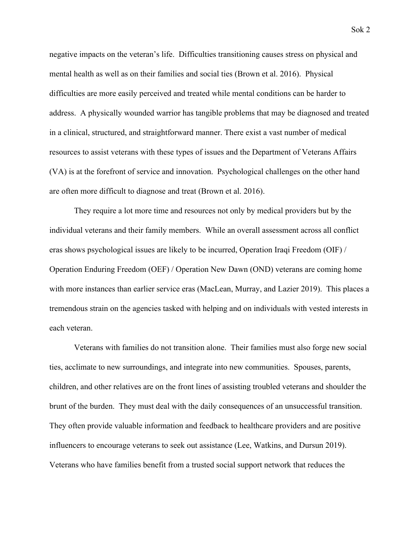negative impacts on the veteran's life. Difficulties transitioning causes stress on physical and mental health as well as on their families and social ties [\(Brown et al. 2016\)](https://paperpile.com/c/N8yLl3/MFhbS). Physical difficulties are more easily perceived and treated while mental conditions can be harder to address. A physically wounded warrior has tangible problems that may be diagnosed and treated in a clinical, structured, and straightforward manner. There exist a vast number of medical resources to assist veterans with these types of issues and the Department of Veterans Affairs (VA) is at the forefront of service and innovation. Psychological challenges on the other hand are often more difficult to diagnose and treat [\(Brown et al. 2016\)](https://paperpile.com/c/N8yLl3/MFhbS).

They require a lot more time and resources not only by medical providers but by the individual veterans and their family members. While an overall assessment across all conflict eras shows psychological issues are likely to be incurred, Operation Iraqi Freedom (OIF) / Operation Enduring Freedom (OEF) / Operation New Dawn (OND) veterans are coming home with more instances than earlier service eras [\(MacLean, Murray, and Lazier 2019\)](https://paperpile.com/c/N8yLl3/j3Zos). This places a tremendous strain on the agencies tasked with helping and on individuals with vested interests in each veteran.

Veterans with families do not transition alone. Their families must also forge new social ties, acclimate to new surroundings, and integrate into new communities. Spouses, parents, children, and other relatives are on the front lines of assisting troubled veterans and shoulder the brunt of the burden. They must deal with the daily consequences of an unsuccessful transition. They often provide valuable information and feedback to healthcare providers and are positive influencers to encourage veterans to seek out assistance [\(Lee, Watkins, and Dursun 2019\)](https://paperpile.com/c/N8yLl3/Er1ZZ). Veterans who have families benefit from a trusted social support network that reduces the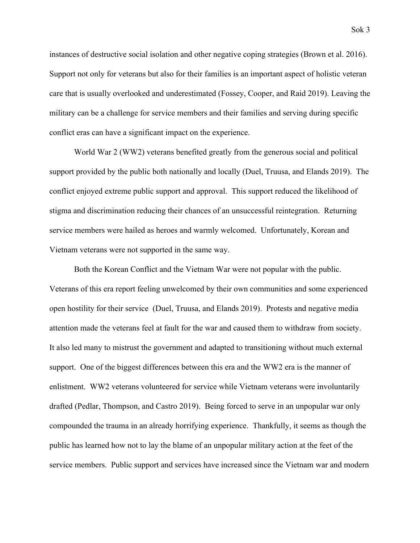instances of destructive social isolation and other negative coping strategies [\(Brown et al. 2016\)](https://paperpile.com/c/N8yLl3/MFhbS). Support not only for veterans but also for their families is an important aspect of holistic veteran care that is usually overlooked and underestimated [\(Fossey, Cooper, and Raid 2019\).](https://paperpile.com/c/N8yLl3/geTts) Leaving the military can be a challenge for service members and their families and serving during specific conflict eras can have a significant impact on the experience.

World War 2 (WW2) veterans benefited greatly from the generous social and political support provided by the public both nationally and locally [\(Duel, Truusa, and Elands 2019\)](https://paperpile.com/c/N8yLl3/4kQuk). The conflict enjoyed extreme public support and approval. This support reduced the likelihood of stigma and discrimination reducing their chances of an unsuccessful reintegration. Returning service members were hailed as heroes and warmly welcomed. Unfortunately, Korean and Vietnam veterans were not supported in the same way.

Both the Korean Conflict and the Vietnam War were not popular with the public. Veterans of this era report feeling unwelcomed by their own communities and some experienced open hostility for their service [\(Duel, Truusa, and Elands 2019\).](https://paperpile.com/c/N8yLl3/4kQuk) Protests and negative media attention made the veterans feel at fault for the war and caused them to withdraw from society. It also led many to mistrust the government and adapted to transitioning without much external support. One of the biggest differences between this era and the WW2 era is the manner of enlistment. WW2 veterans volunteered for service while Vietnam veterans were involuntarily drafted [\(Pedlar, Thompson, and Castro 2019\).](https://paperpile.com/c/N8yLl3/7jlyv) Being forced to serve in an unpopular war only compounded the trauma in an already horrifying experience. Thankfully, it seems as though the public has learned how not to lay the blame of an unpopular military action at the feet of the service members. Public support and services have increased since the Vietnam war and modern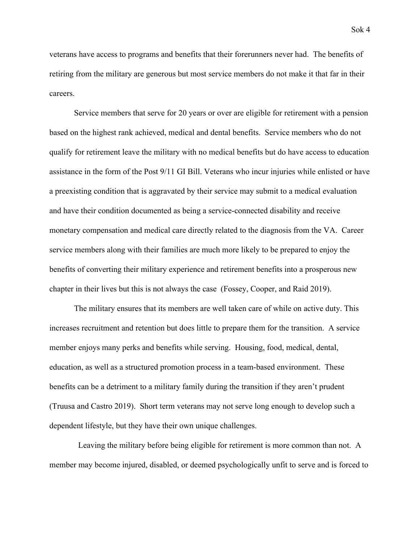veterans have access to programs and benefits that their forerunners never had. The benefits of retiring from the military are generous but most service members do not make it that far in their careers.

Service members that serve for 20 years or over are eligible for retirement with a pension based on the highest rank achieved, medical and dental benefits. Service members who do not qualify for retirement leave the military with no medical benefits but do have access to education assistance in the form of the Post 9/11 GI Bill. Veterans who incur injuries while enlisted or have a preexisting condition that is aggravated by their service may submit to a medical evaluation and have their condition documented as being a service-connected disability and receive monetary compensation and medical care directly related to the diagnosis from the VA. Career service members along with their families are much more likely to be prepared to enjoy the benefits of converting their military experience and retirement benefits into a prosperous new chapter in their lives but this is not always the case [\(Fossey, Cooper, and Raid 2019\).](https://paperpile.com/c/N8yLl3/geTts)

The military ensures that its members are well taken care of while on active duty. This increases recruitment and retention but does little to prepare them for the transition. A service member enjoys many perks and benefits while serving. Housing, food, medical, dental, education, as well as a structured promotion process in a team-based environment. These benefits can be a detriment to a military family during the transition if they aren't prudent [\(Truusa and Castro 2019\).](https://paperpile.com/c/N8yLl3/YLbQb) Short term veterans may not serve long enough to develop such a dependent lifestyle, but they have their own unique challenges.

 Leaving the military before being eligible for retirement is more common than not. A member may become injured, disabled, or deemed psychologically unfit to serve and is forced to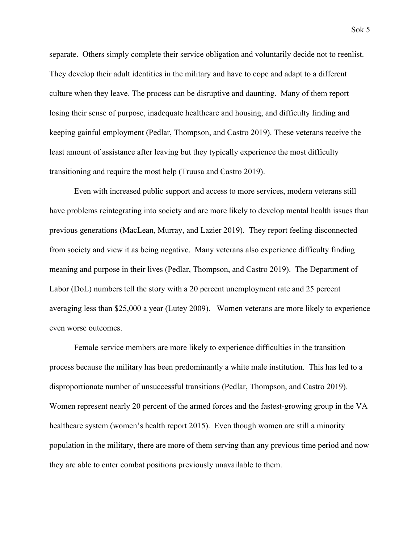separate. Others simply complete their service obligation and voluntarily decide not to reenlist. They develop their adult identities in the military and have to cope and adapt to a different culture when they leave. The process can be disruptive and daunting. Many of them report losing their sense of purpose, inadequate healthcare and housing, and difficulty finding and keeping gainful employment [\(Pedlar, Thompson, and Castro 2019\).](https://paperpile.com/c/N8yLl3/7jlyv) These veterans receive the least amount of assistance after leaving but they typically experience the most difficulty transitioning and require the most help [\(Truusa and Castro 2019\)](https://paperpile.com/c/N8yLl3/YLbQb).

Even with increased public support and access to more services, modern veterans still have problems reintegrating into society and are more likely to develop mental health issues than previous generations [\(MacLean, Murray, and Lazier 2019\).](https://paperpile.com/c/N8yLl3/j3Zos) They report feeling disconnected from society and view it as being negative. Many veterans also experience difficulty finding meaning and purpose in their lives [\(Pedlar, Thompson, and Castro 2019\).](https://paperpile.com/c/N8yLl3/7jlyv) The Department of Labor (DoL) numbers tell the story with a 20 percent unemployment rate and 25 percent averaging less than \$25,000 a year [\(Lutey 2009\).](https://paperpile.com/c/N8yLl3/5ygaL) Women veterans are more likely to experience even worse outcomes.

Female service members are more likely to experience difficulties in the transition process because the military has been predominantly a white male institution. This has led to a disproportionate number of unsuccessful transitions [\(Pedlar, Thompson, and Castro 2019\)](https://paperpile.com/c/N8yLl3/7jlyv). Women represent nearly 20 percent of the armed forces and the fastest-growing group in the VA healthcare system (women's health report 2015). Even though women are still a minority population in the military, there are more of them serving than any previous time period and now they are able to enter combat positions previously unavailable to them.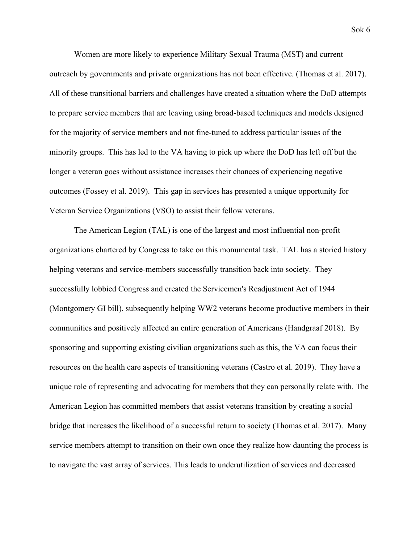Women are more likely to experience Military Sexual Trauma (MST) and current outreach by governments and private organizations has not been effective. [\(Thomas et al. 2017\).](https://paperpile.com/c/N8yLl3/o3Y1c) All of these transitional barriers and challenges have created a situation where the DoD attempts to prepare service members that are leaving using broad-based techniques and models designed for the majority of service members and not fine-tuned to address particular issues of the minority groups. This has led to the VA having to pick up where the DoD has left off but the longer a veteran goes without assistance increases their chances of experiencing negative outcomes [\(Fossey et al. 2019\).](https://paperpile.com/c/N8yLl3/mXiQE) This gap in services has presented a unique opportunity for Veteran Service Organizations (VSO) to assist their fellow veterans.

The American Legion (TAL) is one of the largest and most influential non-profit organizations chartered by Congress to take on this monumental task. TAL has a storied history helping veterans and service-members successfully transition back into society. They successfully lobbied Congress and created the Servicemen's Readjustment Act of 1944 (Montgomery GI bill), subsequently helping WW2 veterans become productive members in their communities and positively affected an entire generation of Americans [\(Handgraaf 2018\)](https://paperpile.com/c/N8yLl3/CFXD3). By sponsoring and supporting existing civilian organizations such as this, the VA can focus their resources on the health care aspects of transitioning veterans [\(Castro et al. 2019\)](https://paperpile.com/c/N8yLl3/EunqE). They have a unique role of representing and advocating for members that they can personally relate with. The American Legion has committed members that assist veterans transition by creating a social bridge that increases the likelihood of a successful return to society [\(Thomas et al. 2017\)](https://paperpile.com/c/N8yLl3/o3Y1c). Many service members attempt to transition on their own once they realize how daunting the process is to navigate the vast array of services. This leads to underutilization of services and decreased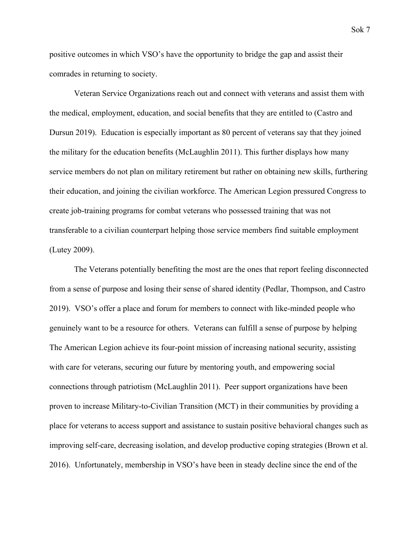positive outcomes in which VSO's have the opportunity to bridge the gap and assist their comrades in returning to society.

Veteran Service Organizations reach out and connect with veterans and assist them with the medical, employment, education, and social benefits that they are entitled to [\(Castro and](https://paperpile.com/c/N8yLl3/ANvvI) [Dursun 2019\)](https://paperpile.com/c/N8yLl3/ANvvI). Education is especially important as 80 percent of veterans say that they joined the military for the education benefits [\(McLaughlin 2011\)](https://paperpile.com/c/N8yLl3/vHbCK). This further displays how many service members do not plan on military retirement but rather on obtaining new skills, furthering their education, and joining the civilian workforce. The American Legion pressured Congress to create job-training programs for combat veterans who possessed training that was not transferable to a civilian counterpart helping those service members find suitable employment [\(Lutey 2009\).](https://paperpile.com/c/N8yLl3/5ygaL)

The Veterans potentially benefiting the most are the ones that report feeling disconnected from a sense of purpose and losing their sense of shared identity [\(Pedlar, Thompson, and Castro](https://paperpile.com/c/N8yLl3/7jlyv) [2019\).](https://paperpile.com/c/N8yLl3/7jlyv) VSO's offer a place and forum for members to connect with like-minded people who genuinely want to be a resource for others. Veterans can fulfill a sense of purpose by helping The American Legion achieve its four-point mission of increasing national security, assisting with care for veterans, securing our future by mentoring youth, and empowering social connections through patriotism [\(McLaughlin 2011\).](https://paperpile.com/c/N8yLl3/vHbCK) Peer support organizations have been proven to increase Military-to-Civilian Transition (MCT) in their communities by providing a place for veterans to access support and assistance to sustain positive behavioral changes such as improving self-care, decreasing isolation, and develop productive coping strategies [\(Brown et al.](https://paperpile.com/c/N8yLl3/MFhbS) [2016\).](https://paperpile.com/c/N8yLl3/MFhbS) Unfortunately, membership in VSO's have been in steady decline since the end of the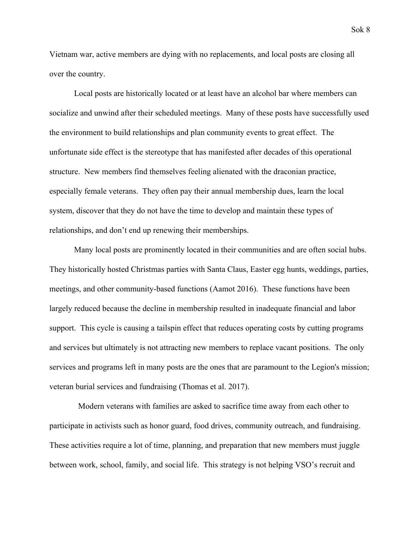Vietnam war, active members are dying with no replacements, and local posts are closing all over the country.

Local posts are historically located or at least have an alcohol bar where members can socialize and unwind after their scheduled meetings. Many of these posts have successfully used the environment to build relationships and plan community events to great effect. The unfortunate side effect is the stereotype that has manifested after decades of this operational structure. New members find themselves feeling alienated with the draconian practice, especially female veterans. They often pay their annual membership dues, learn the local system, discover that they do not have the time to develop and maintain these types of relationships, and don't end up renewing their memberships.

Many local posts are prominently located in their communities and are often social hubs. They historically hosted Christmas parties with Santa Claus, Easter egg hunts, weddings, parties, meetings, and other community-based functions [\(Aamot 2016\).](https://paperpile.com/c/N8yLl3/i2qyU) These functions have been largely reduced because the decline in membership resulted in inadequate financial and labor support. This cycle is causing a tailspin effect that reduces operating costs by cutting programs and services but ultimately is not attracting new members to replace vacant positions. The only services and programs left in many posts are the ones that are paramount to the Legion's mission; veteran burial services and fundraising [\(Thomas et al. 2017\).](https://paperpile.com/c/N8yLl3/o3Y1c)

 Modern veterans with families are asked to sacrifice time away from each other to participate in activists such as honor guard, food drives, community outreach, and fundraising. These activities require a lot of time, planning, and preparation that new members must juggle between work, school, family, and social life. This strategy is not helping VSO's recruit and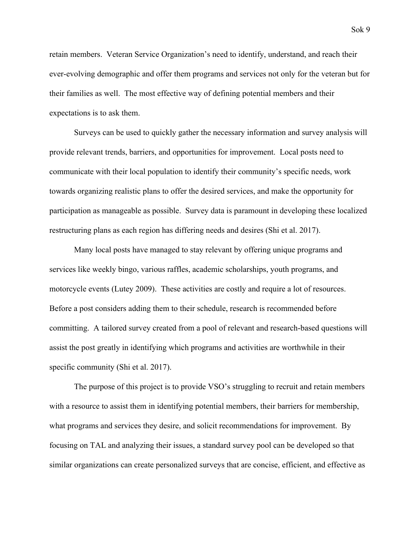retain members. Veteran Service Organization's need to identify, understand, and reach their ever-evolving demographic and offer them programs and services not only for the veteran but for their families as well. The most effective way of defining potential members and their expectations is to ask them.

Surveys can be used to quickly gather the necessary information and survey analysis will provide relevant trends, barriers, and opportunities for improvement. Local posts need to communicate with their local population to identify their community's specific needs, work towards organizing realistic plans to offer the desired services, and make the opportunity for participation as manageable as possible. Survey data is paramount in developing these localized restructuring plans as each region has differing needs and desires [\(Shi et al. 2017\)](https://paperpile.com/c/N8yLl3/XFyRg).

Many local posts have managed to stay relevant by offering unique programs and services like weekly bingo, various raffles, academic scholarships, youth programs, and motorcycle events [\(Lutey 2009\).](https://paperpile.com/c/N8yLl3/5ygaL) These activities are costly and require a lot of resources. Before a post considers adding them to their schedule, research is recommended before committing. A tailored survey created from a pool of relevant and research-based questions will assist the post greatly in identifying which programs and activities are worthwhile in their specific community [\(Shi et al. 2017\).](https://paperpile.com/c/N8yLl3/XFyRg)

The purpose of this project is to provide VSO's struggling to recruit and retain members with a resource to assist them in identifying potential members, their barriers for membership, what programs and services they desire, and solicit recommendations for improvement. By focusing on TAL and analyzing their issues, a standard survey pool can be developed so that similar organizations can create personalized surveys that are concise, efficient, and effective as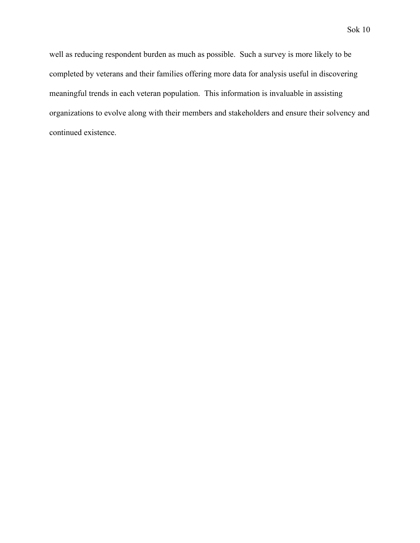well as reducing respondent burden as much as possible. Such a survey is more likely to be completed by veterans and their families offering more data for analysis useful in discovering meaningful trends in each veteran population. This information is invaluable in assisting organizations to evolve along with their members and stakeholders and ensure their solvency and continued existence.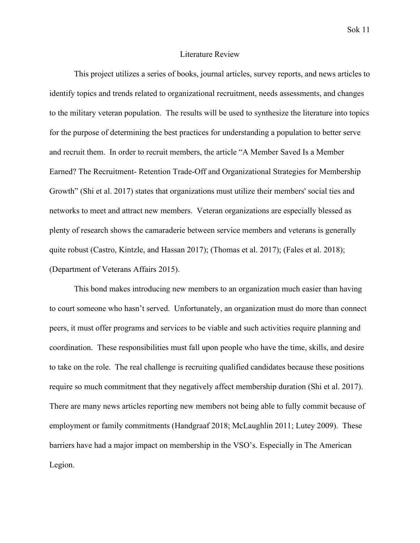#### Literature Review

This project utilizes a series of books, journal articles, survey reports, and news articles to identify topics and trends related to organizational recruitment, needs assessments, and changes to the military veteran population. The results will be used to synthesize the literature into topics for the purpose of determining the best practices for understanding a population to better serve and recruit them. In order to recruit members, the article "A Member Saved Is a Member Earned? The Recruitment- Retention Trade-Off and Organizational Strategies for Membership Growth" [\(Shi et al. 2017\)](https://paperpile.com/c/YhHUff/dnGtq) states that organizations must utilize their members' social ties and networks to meet and attract new members. Veteran organizations are especially blessed as plenty of research shows the camaraderie between service members and veterans is generally quite robust [\(Castro, Kintzle, and Hassan 2017\);](https://paperpile.com/c/YhHUff/8BFg6) [\(Thomas et al. 2017\);](https://paperpile.com/c/YhHUff/7gYkV) [\(Fales et al. 2018\);](https://paperpile.com/c/YhHUff/sQMPf) [\(Department of Veterans Affairs 2015\).](https://paperpile.com/c/YhHUff/OBnSR)

This bond makes introducing new members to an organization much easier than having to court someone who hasn't served. Unfortunately, an organization must do more than connect peers, it must offer programs and services to be viable and such activities require planning and coordination. These responsibilities must fall upon people who have the time, skills, and desire to take on the role. The real challenge is recruiting qualified candidates because these positions require so much commitment that they negatively affect membership duration [\(Shi et al. 2017\)](https://paperpile.com/c/YhHUff/dnGtq). There are many news articles reporting new members not being able to fully commit because of employment or family commitments [\(](https://paperpile.com/c/N8yLl3/vHbCK)[Handgraaf 2018](https://paperpile.com/c/N8yLl3/CFXD3); [McLaughlin 2011;](https://paperpile.com/c/N8yLl3/vHbCK) [Lutey 2009](https://paperpile.com/c/N8yLl3/5ygaL)). These barriers have had a major impact on membership in the VSO's. Especially in The American Legion.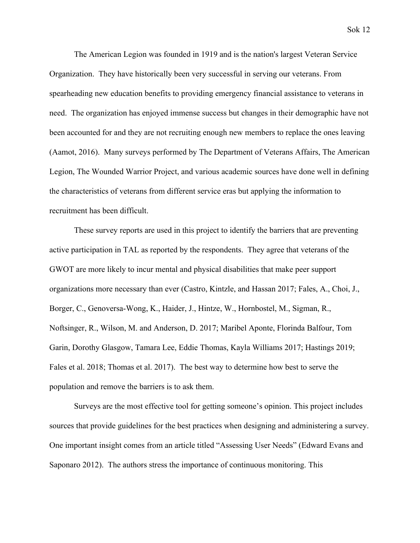Sok 12

The American Legion was founded in 1919 and is the nation's largest Veteran Service Organization. They have historically been very successful in serving our veterans. From spearheading new education benefits to providing emergency financial assistance to veterans in need. The organization has enjoyed immense success but changes in their demographic have not been accounted for and they are not recruiting enough new members to replace the ones leaving (Aamot, 2016). Many surveys performed by The Department of Veterans Affairs, The American Legion, The Wounded Warrior Project, and various academic sources have done well in defining the characteristics of veterans from different service eras but applying the information to recruitment has been difficult.

These survey reports are used in this project to identify the barriers that are preventing active participation in TAL as reported by the respondents. They agree that veterans of the GWOT are more likely to incur mental and physical disabilities that make peer support organizations more necessary than ever [\(Castro, Kintzle, and Hassan 2017;](https://paperpile.com/c/YhHUff/8BFg6) [Fales, A., Choi, J.,](https://paperpile.com/c/YhHUff/VbR8m) [Borger, C., Genoversa-Wong, K., Haider, J., Hintze, W., Hornbostel, M., Sigman, R.,](https://paperpile.com/c/YhHUff/VbR8m) [Noftsinger, R., Wilson, M. and Anderson, D. 2017](https://paperpile.com/c/YhHUff/VbR8m); [Maribel Aponte, Florinda Balfour, Tom](https://paperpile.com/c/YhHUff/f481n) [Garin, Dorothy Glasgow, Tamara Lee, Eddie Thomas, Kayla Williams 2017;](https://paperpile.com/c/YhHUff/f481n) [Hastings 2019](https://paperpile.com/c/YhHUff/6kmAO); [Fales et al. 2018;](https://paperpile.com/c/YhHUff/sQMPf) [Thomas et al. 2017\).](https://paperpile.com/c/YhHUff/7gYkV) The best way to determine how best to serve the population and remove the barriers is to ask them.

Surveys are the most effective tool for getting someone's opinion. This project includes sources that provide guidelines for the best practices when designing and administering a survey. One important insight comes from an article titled "Assessing User Needs" [\(Edward Evans and](https://paperpile.com/c/YhHUff/EZ6u) [Saponaro 2012\)](https://paperpile.com/c/YhHUff/EZ6u). The authors stress the importance of continuous monitoring. This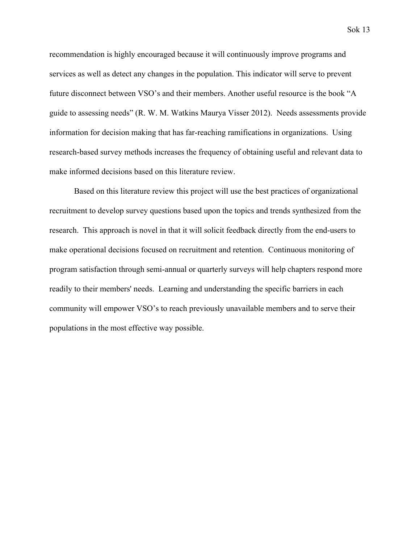recommendation is highly encouraged because it will continuously improve programs and services as well as detect any changes in the population. This indicator will serve to prevent future disconnect between VSO's and their members. Another useful resource is the book "A guide to assessing needs" [\(R. W. M. Watkins Maurya Visser 2012\)](https://paperpile.com/c/YhHUff/KhdJ). Needs assessments provide information for decision making that has far-reaching ramifications in organizations. Using research-based survey methods increases the frequency of obtaining useful and relevant data to make informed decisions based on this literature review.

Based on this literature review this project will use the best practices of organizational recruitment to develop survey questions based upon the topics and trends synthesized from the research. This approach is novel in that it will solicit feedback directly from the end-users to make operational decisions focused on recruitment and retention. Continuous monitoring of program satisfaction through semi-annual or quarterly surveys will help chapters respond more readily to their members' needs. Learning and understanding the specific barriers in each community will empower VSO's to reach previously unavailable members and to serve their populations in the most effective way possible.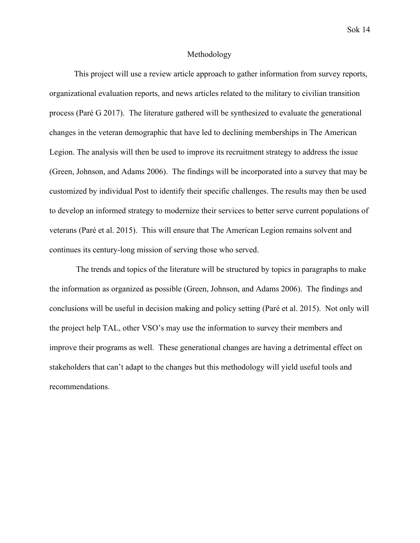## Methodology

This project will use a review article approach to gather information from survey reports, organizational evaluation reports, and news articles related to the military to civilian transition process [\(Paré G 2017\).](https://paperpile.com/c/g8ikKZ/Fi15) The literature gathered will be synthesized to evaluate the generational changes in the veteran demographic that have led to declining memberships in The American Legion. The analysis will then be used to improve its recruitment strategy to address the issue [\(Green, Johnson, and Adams 2006\).](https://paperpile.com/c/g8ikKZ/oSb8) The findings will be incorporated into a survey that may be customized by individual Post to identify their specific challenges. The results may then be used to develop an informed strategy to modernize their services to better serve current populations of veterans [\(Paré et al. 2015\)](https://paperpile.com/c/g8ikKZ/YWRT). This will ensure that The American Legion remains solvent and continues its century-long mission of serving those who served.

 The trends and topics of the literature will be structured by topics in paragraphs to make the information as organized as possible [\(Green, Johnson, and Adams 2006\).](https://paperpile.com/c/g8ikKZ/oSb8) The findings and conclusions will be useful in decision making and policy setting [\(Paré et al. 2015\)](https://paperpile.com/c/g8ikKZ/YWRT). Not only will the project help TAL, other VSO's may use the information to survey their members and improve their programs as well. These generational changes are having a detrimental effect on stakeholders that can't adapt to the changes but this methodology will yield useful tools and recommendations.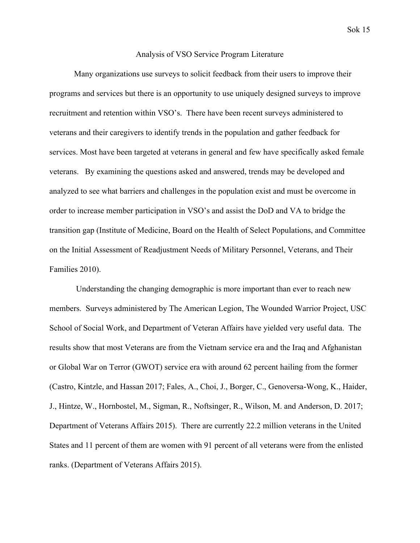### Analysis of VSO Service Program Literature

Many organizations use surveys to solicit feedback from their users to improve their programs and services but there is an opportunity to use uniquely designed surveys to improve recruitment and retention within VSO's. There have been recent surveys administered to veterans and their caregivers to identify trends in the population and gather feedback for services. Most have been targeted at veterans in general and few have specifically asked female veterans. By examining the questions asked and answered, trends may be developed and analyzed to see what barriers and challenges in the population exist and must be overcome in order to increase member participation in VSO's and assist the DoD and VA to bridge the transition gap [\(Institute of Medicine, Board on the Health of Select Populations, and Committee](https://paperpile.com/c/N8yLl3/2r7qC) [on the Initial Assessment of Readjustment Needs of Military Personnel, Veterans, and Their](https://paperpile.com/c/N8yLl3/2r7qC) [Families 2010\)](https://paperpile.com/c/N8yLl3/2r7qC).

 Understanding the changing demographic is more important than ever to reach new members. Surveys administered by The American Legion, The Wounded Warrior Project, USC School of Social Work, and Department of Veteran Affairs have yielded very useful data. The results show that most Veterans are from the Vietnam service era and the Iraq and Afghanistan or Global War on Terror (GWOT) service era with around 62 percent hailing from the former [\(Castro, Kintzle, and Hassan 2017;](https://paperpile.com/c/N8yLl3/Oz5bw) [Fales, A., Choi, J., Borger, C., Genoversa-Wong, K., Haider,](https://paperpile.com/c/N8yLl3/URN7U) [J., Hintze, W., Hornbostel, M., Sigman, R., Noftsinger, R., Wilson, M. and Anderson, D. 2017;](https://paperpile.com/c/N8yLl3/URN7U) [Department of Veterans Affairs 2015\)](https://paperpile.com/c/N8yLl3/Y2XTM). There are currently 22.2 million veterans in the United States and 11 percent of them are women with 91 percent of all veterans were from the enlisted ranks. [\(Department of Veterans Affairs 2015\)](https://paperpile.com/c/N8yLl3/Y2XTM).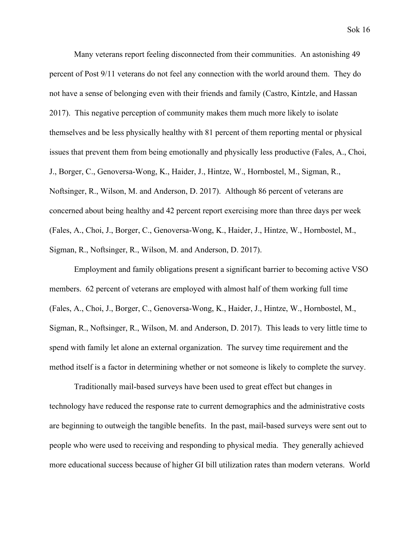Many veterans report feeling disconnected from their communities. An astonishing 49 percent of Post 9/11 veterans do not feel any connection with the world around them. They do not have a sense of belonging even with their friends and family [\(Castro, Kintzle, and Hassan](https://paperpile.com/c/N8yLl3/Oz5bw) [2017\).](https://paperpile.com/c/N8yLl3/Oz5bw) This negative perception of community makes them much more likely to isolate themselves and be less physically healthy with 81 percent of them reporting mental or physical issues that prevent them from being emotionally and physically less productive [\(Fales, A., Choi,](https://paperpile.com/c/N8yLl3/URN7U) [J., Borger, C., Genoversa-Wong, K., Haider, J., Hintze, W., Hornbostel, M., Sigman, R.,](https://paperpile.com/c/N8yLl3/URN7U) [Noftsinger, R., Wilson, M. and Anderson, D. 2017\).](https://paperpile.com/c/N8yLl3/URN7U) Although 86 percent of veterans are concerned about being healthy and 42 percent report exercising more than three days per week [\(Fales, A., Choi, J., Borger, C., Genoversa-Wong, K., Haider, J., Hintze, W., Hornbostel, M.,](https://paperpile.com/c/N8yLl3/URN7U) [Sigman, R., Noftsinger, R., Wilson, M. and Anderson, D. 2017\).](https://paperpile.com/c/N8yLl3/URN7U)

Employment and family obligations present a significant barrier to becoming active VSO members. 62 percent of veterans are employed with almost half of them working full time [\(Fales, A., Choi, J., Borger, C., Genoversa-Wong, K., Haider, J., Hintze, W., Hornbostel, M.,](https://paperpile.com/c/N8yLl3/URN7U) [Sigman, R., Noftsinger, R., Wilson, M. and Anderson, D. 2017\).](https://paperpile.com/c/N8yLl3/URN7U) This leads to very little time to spend with family let alone an external organization. The survey time requirement and the method itself is a factor in determining whether or not someone is likely to complete the survey.

Traditionally mail-based surveys have been used to great effect but changes in technology have reduced the response rate to current demographics and the administrative costs are beginning to outweigh the tangible benefits. In the past, mail-based surveys were sent out to people who were used to receiving and responding to physical media. They generally achieved more educational success because of higher GI bill utilization rates than modern veterans. World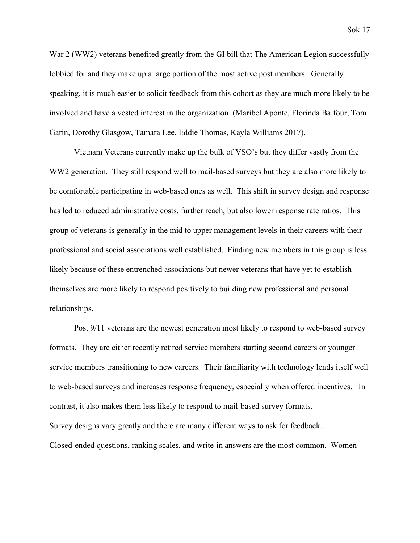War 2 (WW2) veterans benefited greatly from the GI bill that The American Legion successfully lobbied for and they make up a large portion of the most active post members. Generally speaking, it is much easier to solicit feedback from this cohort as they are much more likely to be involved and have a vested interest in the organization [\(Maribel Aponte, Florinda Balfour, Tom](https://paperpile.com/c/N8yLl3/BQJwb) [Garin, Dorothy Glasgow, Tamara Lee, Eddie Thomas, Kayla Williams 2017\).](https://paperpile.com/c/N8yLl3/BQJwb)

Vietnam Veterans currently make up the bulk of VSO's but they differ vastly from the WW2 generation. They still respond well to mail-based surveys but they are also more likely to be comfortable participating in web-based ones as well. This shift in survey design and response has led to reduced administrative costs, further reach, but also lower response rate ratios. This group of veterans is generally in the mid to upper management levels in their careers with their professional and social associations well established. Finding new members in this group is less likely because of these entrenched associations but newer veterans that have yet to establish themselves are more likely to respond positively to building new professional and personal relationships.

Post 9/11 veterans are the newest generation most likely to respond to web-based survey formats. They are either recently retired service members starting second careers or younger service members transitioning to new careers. Their familiarity with technology lends itself well to web-based surveys and increases response frequency, especially when offered incentives. In contrast, it also makes them less likely to respond to mail-based survey formats. Survey designs vary greatly and there are many different ways to ask for feedback. Closed-ended questions, ranking scales, and write-in answers are the most common. Women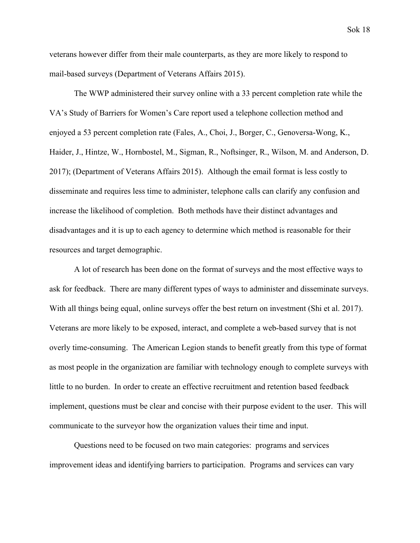veterans however differ from their male counterparts, as they are more likely to respond to mail-based surveys [\(Department of Veterans Affairs 2015\).](https://paperpile.com/c/N8yLl3/Y2XTM)

The WWP administered their survey online with a 33 percent completion rate while the VA's Study of Barriers for Women's Care report used a telephone collection method and enjoyed a 53 percent completion rate [\(Fales, A., Choi, J., Borger, C., Genoversa-Wong, K.,](https://paperpile.com/c/N8yLl3/URN7U) [Haider, J., Hintze, W., Hornbostel, M., Sigman, R., Noftsinger, R., Wilson, M. and Anderson, D.](https://paperpile.com/c/N8yLl3/URN7U) [2017\);](https://paperpile.com/c/N8yLl3/URN7U) [\(Department of Veterans Affairs 2015\)](https://paperpile.com/c/N8yLl3/Y2XTM). Although the email format is less costly to disseminate and requires less time to administer, telephone calls can clarify any confusion and increase the likelihood of completion. Both methods have their distinct advantages and disadvantages and it is up to each agency to determine which method is reasonable for their resources and target demographic.

A lot of research has been done on the format of surveys and the most effective ways to ask for feedback. There are many different types of ways to administer and disseminate surveys. With all things being equal, online surveys offer the best return on investment [\(Shi et al. 2017\)](https://paperpile.com/c/N8yLl3/XFyRg). Veterans are more likely to be exposed, interact, and complete a web-based survey that is not overly time-consuming. The American Legion stands to benefit greatly from this type of format as most people in the organization are familiar with technology enough to complete surveys with little to no burden. In order to create an effective recruitment and retention based feedback implement, questions must be clear and concise with their purpose evident to the user. This will communicate to the surveyor how the organization values their time and input.

Questions need to be focused on two main categories: programs and services improvement ideas and identifying barriers to participation. Programs and services can vary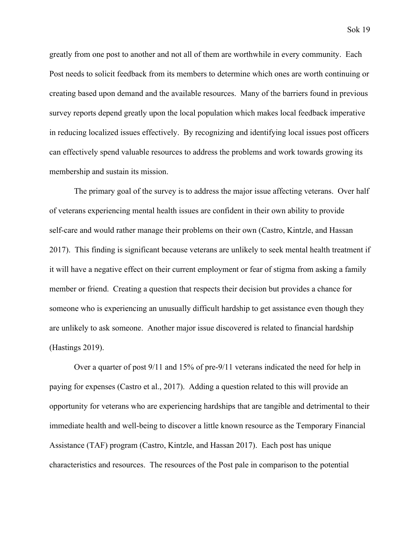greatly from one post to another and not all of them are worthwhile in every community. Each Post needs to solicit feedback from its members to determine which ones are worth continuing or creating based upon demand and the available resources. Many of the barriers found in previous survey reports depend greatly upon the local population which makes local feedback imperative in reducing localized issues effectively. By recognizing and identifying local issues post officers can effectively spend valuable resources to address the problems and work towards growing its membership and sustain its mission.

The primary goal of the survey is to address the major issue affecting veterans. Over half of veterans experiencing mental health issues are confident in their own ability to provide self-care and would rather manage their problems on their own [\(Castro, Kintzle, and Hassan](https://paperpile.com/c/N8yLl3/Oz5bw) [2017\).](https://paperpile.com/c/N8yLl3/Oz5bw) This finding is significant because veterans are unlikely to seek mental health treatment if it will have a negative effect on their current employment or fear of stigma from asking a family member or friend. Creating a question that respects their decision but provides a chance for someone who is experiencing an unusually difficult hardship to get assistance even though they are unlikely to ask someone. Another major issue discovered is related to financial hardship [\(Hastings 2019\).](https://paperpile.com/c/N8yLl3/oaURq)

Over a quarter of post 9/11 and 15% of pre-9/11 veterans indicated the need for help in paying for expenses (Castro et al., 2017). Adding a question related to this will provide an opportunity for veterans who are experiencing hardships that are tangible and detrimental to their immediate health and well-being to discover a little known resource as the Temporary Financial Assistance (TAF) program [\(Castro, Kintzle, and Hassan 2017\)](https://paperpile.com/c/N8yLl3/Oz5bw). Each post has unique characteristics and resources. The resources of the Post pale in comparison to the potential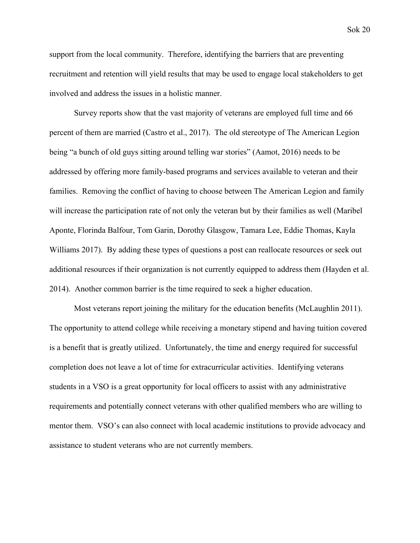Sok 20

support from the local community. Therefore, identifying the barriers that are preventing recruitment and retention will yield results that may be used to engage local stakeholders to get involved and address the issues in a holistic manner.

Survey reports show that the vast majority of veterans are employed full time and 66 percent of them are married (Castro et al., 2017). The old stereotype of The American Legion being "a bunch of old guys sitting around telling war stories" (Aamot, 2016) needs to be addressed by offering more family-based programs and services available to veteran and their families. Removing the conflict of having to choose between The American Legion and family will increase the participation rate of not only the veteran but by their families as well [\(Maribel](https://paperpile.com/c/N8yLl3/BQJwb) [Aponte, Florinda Balfour, Tom Garin, Dorothy Glasgow, Tamara Lee, Eddie Thomas, Kayla](https://paperpile.com/c/N8yLl3/BQJwb) [Williams 2017\).](https://paperpile.com/c/N8yLl3/BQJwb) By adding these types of questions a post can reallocate resources or seek out additional resources if their organization is not currently equipped to address them [\(Hayden et al.](https://paperpile.com/c/N8yLl3/7cEtl) [2014\).](https://paperpile.com/c/N8yLl3/7cEtl) Another common barrier is the time required to seek a higher education.

Most veterans report joining the military for the education benefits [\(McLaughlin 2011\).](https://paperpile.com/c/oJWM8V/WGwZR) The opportunity to attend college while receiving a monetary stipend and having tuition covered is a benefit that is greatly utilized. Unfortunately, the time and energy required for successful completion does not leave a lot of time for extracurricular activities. Identifying veterans students in a VSO is a great opportunity for local officers to assist with any administrative requirements and potentially connect veterans with other qualified members who are willing to mentor them. VSO's can also connect with local academic institutions to provide advocacy and assistance to student veterans who are not currently members.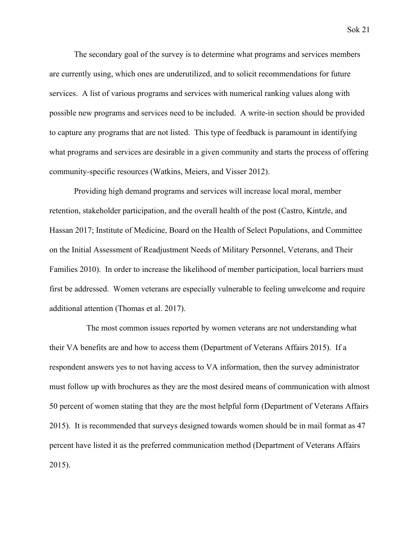The secondary goal of the survey is to determine what programs and services members are currently using, which ones are underutilized, and to solicit recommendations for future services. A list of various programs and services with numerical ranking values along with possible new programs and services need to be included. A write-in section should be provided to capture any programs that are not listed. This type of feedback is paramount in identifying what programs and services are desirable in a given community and starts the process of offering community-specific resources [\(Watkins, Meiers, and Visser 2012\).](https://paperpile.com/c/N8yLl3/WSc5D)

Providing high demand programs and services will increase local moral, member retention, stakeholder participation, and the overall health of the post [\(Castro, Kintzle, and](https://paperpile.com/c/N8yLl3/Oz5bw+2r7qC) [Hassan 2017; Institute of Medicine, Board on the Health of Select Populations, and Committee](https://paperpile.com/c/N8yLl3/Oz5bw+2r7qC) [on the Initial Assessment of Readjustment Needs of Military Personnel, Veterans, and Their](https://paperpile.com/c/N8yLl3/Oz5bw+2r7qC) [Families 2010\)](https://paperpile.com/c/N8yLl3/Oz5bw+2r7qC). In order to increase the likelihood of member participation, local barriers must first be addressed. Women veterans are especially vulnerable to feeling unwelcome and require additional attention [\(Thomas et al. 2017\).](https://paperpile.com/c/N8yLl3/o3Y1c)

 The most common issues reported by women veterans are not understanding what their VA benefits are and how to access them [\(Department of Veterans Affairs 2015\)](https://paperpile.com/c/N8yLl3/Y2XTM). If a respondent answers yes to not having access to VA information, then the survey administrator must follow up with brochures as they are the most desired means of communication with almost 50 percent of women stating that they are the most helpful form [\(Department of Veterans Affairs](https://paperpile.com/c/N8yLl3/Y2XTM) [2015\).](https://paperpile.com/c/N8yLl3/Y2XTM) It is recommended that surveys designed towards women should be in mail format as 47 percent have listed it as the preferred communication method [\(Department of Veterans Affairs](https://paperpile.com/c/N8yLl3/Y2XTM) [2015\).](https://paperpile.com/c/N8yLl3/Y2XTM)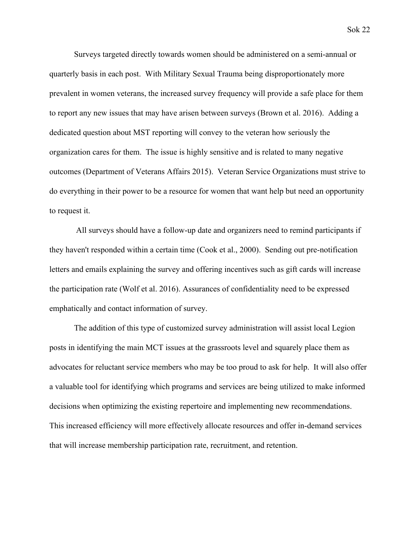Surveys targeted directly towards women should be administered on a semi-annual or quarterly basis in each post. With Military Sexual Trauma being disproportionately more prevalent in women veterans, the increased survey frequency will provide a safe place for them to report any new issues that may have arisen between surveys [\(Brown et al. 2016\)](https://paperpile.com/c/oJWM8V/Q8BKc). Adding a dedicated question about MST reporting will convey to the veteran how seriously the organization cares for them. The issue is highly sensitive and is related to many negative outcomes [\(Department of Veterans Affairs 2015\)](https://paperpile.com/c/N8yLl3/Y2XTM). Veteran Service Organizations must strive to do everything in their power to be a resource for women that want help but need an opportunity to request it.

 All surveys should have a follow-up date and organizers need to remind participants if they haven't responded within a certain time (Cook et al., 2000). Sending out pre-notification letters and emails explaining the survey and offering incentives such as gift cards will increase the participation rate [\(Wolf et al. 2016\)](https://paperpile.com/c/N8yLl3/Kk68e). Assurances of confidentiality need to be expressed emphatically and contact information of survey.

The addition of this type of customized survey administration will assist local Legion posts in identifying the main MCT issues at the grassroots level and squarely place them as advocates for reluctant service members who may be too proud to ask for help. It will also offer a valuable tool for identifying which programs and services are being utilized to make informed decisions when optimizing the existing repertoire and implementing new recommendations. This increased efficiency will more effectively allocate resources and offer in-demand services that will increase membership participation rate, recruitment, and retention.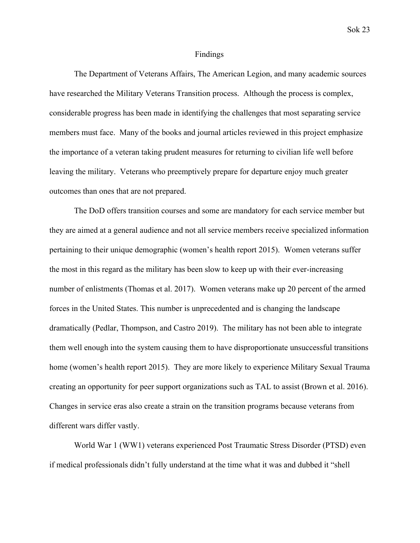#### Findings

The Department of Veterans Affairs, The American Legion, and many academic sources have researched the Military Veterans Transition process. Although the process is complex, considerable progress has been made in identifying the challenges that most separating service members must face. Many of the books and journal articles reviewed in this project emphasize the importance of a veteran taking prudent measures for returning to civilian life well before leaving the military. Veterans who preemptively prepare for departure enjoy much greater outcomes than ones that are not prepared.

The DoD offers transition courses and some are mandatory for each service member but they are aimed at a general audience and not all service members receive specialized information pertaining to their unique demographic (women's health report 2015). Women veterans suffer the most in this regard as the military has been slow to keep up with their ever-increasing number of enlistments [\(Thomas et al. 2017\)](https://paperpile.com/c/oJWM8V/cbJOT). Women veterans make up 20 percent of the armed forces in the United States. This number is unprecedented and is changing the landscape dramatically [\(Pedlar, Thompson, and Castro 2019\).](https://paperpile.com/c/oJWM8V/3KmJH) The military has not been able to integrate them well enough into the system causing them to have disproportionate unsuccessful transitions home (women's health report 2015). They are more likely to experience Military Sexual Trauma creating an opportunity for peer support organizations such as TAL to assist [\(Brown et al. 2016\).](https://paperpile.com/c/oJWM8V/Q8BKc) Changes in service eras also create a strain on the transition programs because veterans from different wars differ vastly.

World War 1 (WW1) veterans experienced Post Traumatic Stress Disorder (PTSD) even if medical professionals didn't fully understand at the time what it was and dubbed it "shell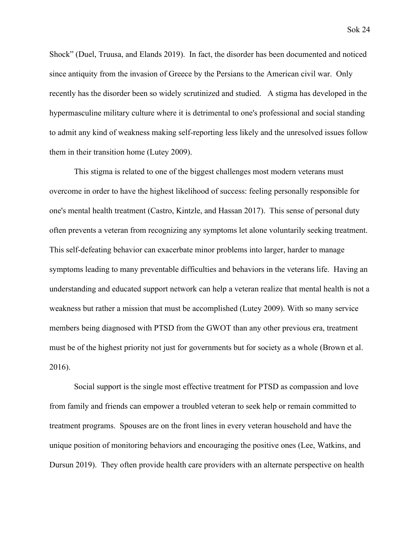Shock" [\(Duel, Truusa, and Elands 2019\).](https://paperpile.com/c/oJWM8V/weBVq) In fact, the disorder has been documented and noticed since antiquity from the invasion of Greece by the Persians to the American civil war. Only recently has the disorder been so widely scrutinized and studied. A stigma has developed in the hypermasculine military culture where it is detrimental to one's professional and social standing to admit any kind of weakness making self-reporting less likely and the unresolved issues follow them in their transition home [\(Lutey 2009\).](https://paperpile.com/c/oJWM8V/CriIj)

This stigma is related to one of the biggest challenges most modern veterans must overcome in order to have the highest likelihood of success: feeling personally responsible for one's mental health treatment [\(Castro, Kintzle, and Hassan 2017\)](https://paperpile.com/c/oJWM8V/fAWrq). This sense of personal duty often prevents a veteran from recognizing any symptoms let alone voluntarily seeking treatment. This self-defeating behavior can exacerbate minor problems into larger, harder to manage symptoms leading to many preventable difficulties and behaviors in the veterans life. Having an understanding and educated support network can help a veteran realize that mental health is not a weakness but rather a mission that must be accomplished [\(Lutey 2009\)](https://paperpile.com/c/oJWM8V/CriIj). With so many service members being diagnosed with PTSD from the GWOT than any other previous era, treatment must be of the highest priority not just for governments but for society as a whole [\(Brown et al.](https://paperpile.com/c/oJWM8V/Q8BKc) [2016\).](https://paperpile.com/c/oJWM8V/Q8BKc)

Social support is the single most effective treatment for PTSD as compassion and love from family and friends can empower a troubled veteran to seek help or remain committed to treatment programs. Spouses are on the front lines in every veteran household and have the unique position of monitoring behaviors and encouraging the positive ones [\(Lee, Watkins, and](https://paperpile.com/c/oJWM8V/DnFGF) [Dursun 2019\)](https://paperpile.com/c/oJWM8V/DnFGF). They often provide health care providers with an alternate perspective on health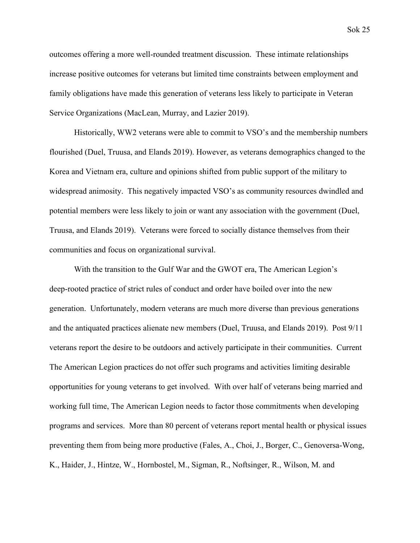outcomes offering a more well-rounded treatment discussion. These intimate relationships increase positive outcomes for veterans but limited time constraints between employment and family obligations have made this generation of veterans less likely to participate in Veteran Service Organizations [\(MacLean, Murray, and Lazier 2019\).](https://paperpile.com/c/oJWM8V/8XlPJ)

Historically, WW2 veterans were able to commit to VSO's and the membership numbers flourished [\(Duel, Truusa, and Elands 2019\)](https://paperpile.com/c/oJWM8V/weBVq). However, as veterans demographics changed to the Korea and Vietnam era, culture and opinions shifted from public support of the military to widespread animosity. This negatively impacted VSO's as community resources dwindled and potential members were less likely to join or want any association with the government [\(Duel,](https://paperpile.com/c/oJWM8V/weBVq) [Truusa, and Elands 2019\)](https://paperpile.com/c/oJWM8V/weBVq). Veterans were forced to socially distance themselves from their communities and focus on organizational survival.

With the transition to the Gulf War and the GWOT era, The American Legion's deep-rooted practice of strict rules of conduct and order have boiled over into the new generation. Unfortunately, modern veterans are much more diverse than previous generations and the antiquated practices alienate new members [\(Duel, Truusa, and Elands 2019\).](https://paperpile.com/c/oJWM8V/weBVq) Post 9/11 veterans report the desire to be outdoors and actively participate in their communities. Current The American Legion practices do not offer such programs and activities limiting desirable opportunities for young veterans to get involved. With over half of veterans being married and working full time, The American Legion needs to factor those commitments when developing programs and services. More than 80 percent of veterans report mental health or physical issues preventing them from being more productive [\(Fales, A., Choi, J., Borger, C., Genoversa-Wong,](https://paperpile.com/c/oJWM8V/kcUBW) [K., Haider, J., Hintze, W., Hornbostel, M., Sigman, R., Noftsinger, R., Wilson, M. and](https://paperpile.com/c/oJWM8V/kcUBW)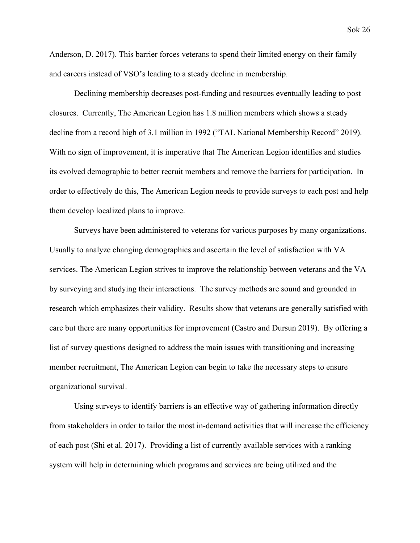[Anderson, D. 2017\)](https://paperpile.com/c/oJWM8V/kcUBW). This barrier forces veterans to spend their limited energy on their family and careers instead of VSO's leading to a steady decline in membership.

Declining membership decreases post-funding and resources eventually leading to post closures. Currently, The American Legion has 1.8 million members which shows a steady decline from a record high of 3.1 million in 1992 [\("TAL National Membership Record" 2019\).](https://paperpile.com/c/oJWM8V/34Cj) With no sign of improvement, it is imperative that The American Legion identifies and studies its evolved demographic to better recruit members and remove the barriers for participation. In order to effectively do this, The American Legion needs to provide surveys to each post and help them develop localized plans to improve.

Surveys have been administered to veterans for various purposes by many organizations. Usually to analyze changing demographics and ascertain the level of satisfaction with VA services. The American Legion strives to improve the relationship between veterans and the VA by surveying and studying their interactions. The survey methods are sound and grounded in research which emphasizes their validity. Results show that veterans are generally satisfied with care but there are many opportunities for improvement [\(Castro and Dursun 2019\).](https://paperpile.com/c/oJWM8V/ydXTq) By offering a list of survey questions designed to address the main issues with transitioning and increasing member recruitment, The American Legion can begin to take the necessary steps to ensure organizational survival.

Using surveys to identify barriers is an effective way of gathering information directly from stakeholders in order to tailor the most in-demand activities that will increase the efficiency of each post [\(Shi et al. 2017\)](https://paperpile.com/c/oJWM8V/MvhJu). Providing a list of currently available services with a ranking system will help in determining which programs and services are being utilized and the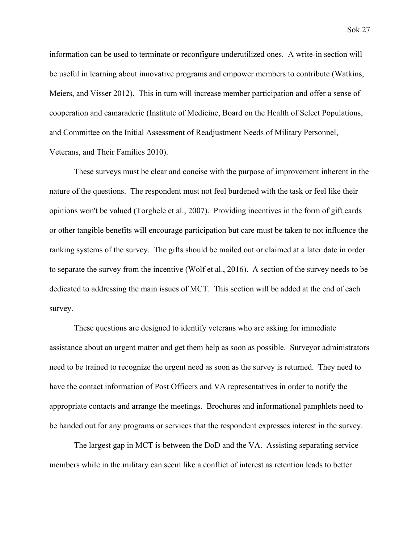information can be used to terminate or reconfigure underutilized ones. A write-in section will be useful in learning about innovative programs and empower members to contribute [\(Watkins,](https://paperpile.com/c/oJWM8V/X5gAA) [Meiers, and Visser 2012\).](https://paperpile.com/c/oJWM8V/X5gAA) This in turn will increase member participation and offer a sense of cooperation and camaraderie ([Institute of Medicine, Board on the Health of Select Populations,](https://paperpile.com/c/oJWM8V/fAWrq+G8C2D) [and Committee on the Initial Assessment of Readjustment Needs of Military Personnel,](https://paperpile.com/c/oJWM8V/fAWrq+G8C2D) [Veterans, and Their Families 2010\)](https://paperpile.com/c/oJWM8V/fAWrq+G8C2D).

These surveys must be clear and concise with the purpose of improvement inherent in the nature of the questions. The respondent must not feel burdened with the task or feel like their opinions won't be valued (Torghele et al., 2007). Providing incentives in the form of gift cards or other tangible benefits will encourage participation but care must be taken to not influence the ranking systems of the survey. The gifts should be mailed out or claimed at a later date in order to separate the survey from the incentive (Wolf et al., 2016). A section of the survey needs to be dedicated to addressing the main issues of MCT. This section will be added at the end of each survey.

These questions are designed to identify veterans who are asking for immediate assistance about an urgent matter and get them help as soon as possible. Surveyor administrators need to be trained to recognize the urgent need as soon as the survey is returned. They need to have the contact information of Post Officers and VA representatives in order to notify the appropriate contacts and arrange the meetings. Brochures and informational pamphlets need to be handed out for any programs or services that the respondent expresses interest in the survey.

The largest gap in MCT is between the DoD and the VA. Assisting separating service members while in the military can seem like a conflict of interest as retention leads to better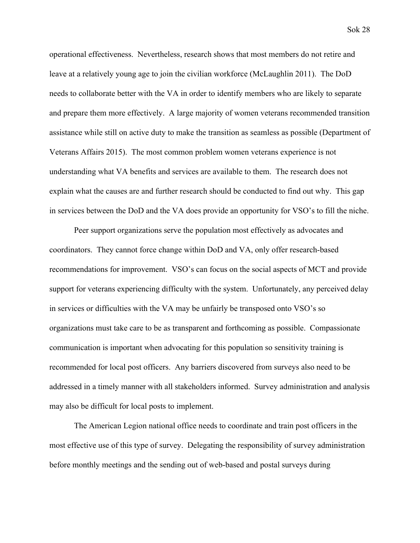operational effectiveness. Nevertheless, research shows that most members do not retire and leave at a relatively young age to join the civilian workforce [\(McLaughlin 2011\)](https://paperpile.com/c/oJWM8V/WGwZR). The DoD needs to collaborate better with the VA in order to identify members who are likely to separate and prepare them more effectively. A large majority of women veterans recommended transition assistance while still on active duty to make the transition as seamless as possible [\(Department of](https://paperpile.com/c/oJWM8V/LTflC) [Veterans Affairs 2015\).](https://paperpile.com/c/oJWM8V/LTflC) The most common problem women veterans experience is not understanding what VA benefits and services are available to them. The research does not explain what the causes are and further research should be conducted to find out why. This gap in services between the DoD and the VA does provide an opportunity for VSO's to fill the niche.

Peer support organizations serve the population most effectively as advocates and coordinators. They cannot force change within DoD and VA, only offer research-based recommendations for improvement. VSO's can focus on the social aspects of MCT and provide support for veterans experiencing difficulty with the system. Unfortunately, any perceived delay in services or difficulties with the VA may be unfairly be transposed onto VSO's so organizations must take care to be as transparent and forthcoming as possible. Compassionate communication is important when advocating for this population so sensitivity training is recommended for local post officers. Any barriers discovered from surveys also need to be addressed in a timely manner with all stakeholders informed. Survey administration and analysis may also be difficult for local posts to implement.

The American Legion national office needs to coordinate and train post officers in the most effective use of this type of survey. Delegating the responsibility of survey administration before monthly meetings and the sending out of web-based and postal surveys during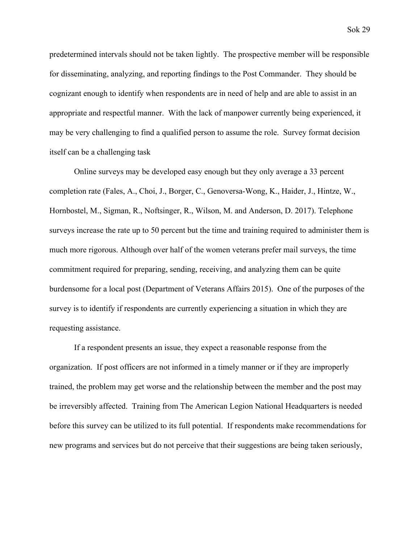predetermined intervals should not be taken lightly. The prospective member will be responsible for disseminating, analyzing, and reporting findings to the Post Commander. They should be cognizant enough to identify when respondents are in need of help and are able to assist in an appropriate and respectful manner. With the lack of manpower currently being experienced, it may be very challenging to find a qualified person to assume the role. Survey format decision itself can be a challenging task

Online surveys may be developed easy enough but they only average a 33 percent completion rate [\(Fales, A., Choi, J., Borger, C., Genoversa-Wong, K., Haider, J., Hintze, W.,](https://paperpile.com/c/oJWM8V/kcUBW) [Hornbostel, M., Sigman, R., Noftsinger, R., Wilson, M. and Anderson, D. 2017\).](https://paperpile.com/c/oJWM8V/kcUBW) Telephone surveys increase the rate up to 50 percent but the time and training required to administer them is much more rigorous. Although over half of the women veterans prefer mail surveys, the time commitment required for preparing, sending, receiving, and analyzing them can be quite burdensome for a local post [\(Department of Veterans Affairs 2015\)](https://paperpile.com/c/oJWM8V/LTflC). One of the purposes of the survey is to identify if respondents are currently experiencing a situation in which they are requesting assistance.

If a respondent presents an issue, they expect a reasonable response from the organization. If post officers are not informed in a timely manner or if they are improperly trained, the problem may get worse and the relationship between the member and the post may be irreversibly affected. Training from The American Legion National Headquarters is needed before this survey can be utilized to its full potential. If respondents make recommendations for new programs and services but do not perceive that their suggestions are being taken seriously,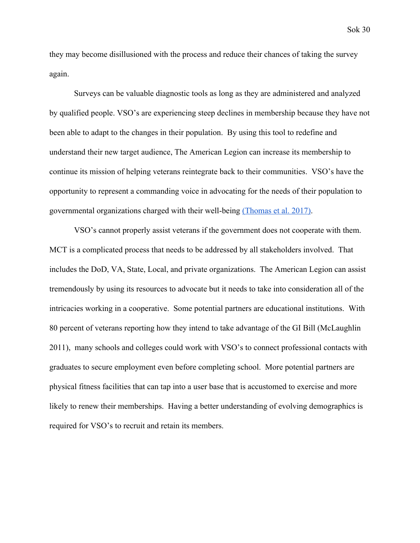they may become disillusioned with the process and reduce their chances of taking the survey again.

Surveys can be valuable diagnostic tools as long as they are administered and analyzed by qualified people. VSO's are experiencing steep declines in membership because they have not been able to adapt to the changes in their population. By using this tool to redefine and understand their new target audience, The American Legion can increase its membership to continue its mission of helping veterans reintegrate back to their communities. VSO's have the opportunity to represent a commanding voice in advocating for the needs of their population to governmental organizations charged with their well-being [\(Thomas et al. 2017\)](https://paperpile.com/c/oJWM8V/cbJOT).

VSO's cannot properly assist veterans if the government does not cooperate with them. MCT is a complicated process that needs to be addressed by all stakeholders involved. That includes the DoD, VA, State, Local, and private organizations. The American Legion can assist tremendously by using its resources to advocate but it needs to take into consideration all of the intricacies working in a cooperative. Some potential partners are educational institutions. With 80 percent of veterans reporting how they intend to take advantage of the GI Bill [\(McLaughlin](https://paperpile.com/c/oJWM8V/WGwZR) [2011\),](https://paperpile.com/c/oJWM8V/WGwZR) many schools and colleges could work with VSO's to connect professional contacts with graduates to secure employment even before completing school. More potential partners are physical fitness facilities that can tap into a user base that is accustomed to exercise and more likely to renew their memberships. Having a better understanding of evolving demographics is required for VSO's to recruit and retain its members.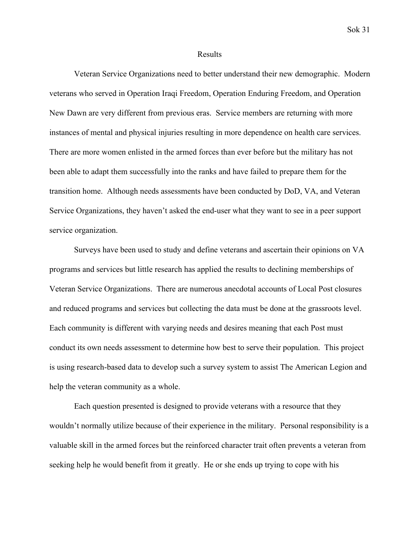#### Results

Veteran Service Organizations need to better understand their new demographic. Modern veterans who served in Operation Iraqi Freedom, Operation Enduring Freedom, and Operation New Dawn are very different from previous eras. Service members are returning with more instances of mental and physical injuries resulting in more dependence on health care services. There are more women enlisted in the armed forces than ever before but the military has not been able to adapt them successfully into the ranks and have failed to prepare them for the transition home. Although needs assessments have been conducted by DoD, VA, and Veteran Service Organizations, they haven't asked the end-user what they want to see in a peer support service organization.

Surveys have been used to study and define veterans and ascertain their opinions on VA programs and services but little research has applied the results to declining memberships of Veteran Service Organizations. There are numerous anecdotal accounts of Local Post closures and reduced programs and services but collecting the data must be done at the grassroots level. Each community is different with varying needs and desires meaning that each Post must conduct its own needs assessment to determine how best to serve their population. This project is using research-based data to develop such a survey system to assist The American Legion and help the veteran community as a whole.

Each question presented is designed to provide veterans with a resource that they wouldn't normally utilize because of their experience in the military. Personal responsibility is a valuable skill in the armed forces but the reinforced character trait often prevents a veteran from seeking help he would benefit from it greatly. He or she ends up trying to cope with his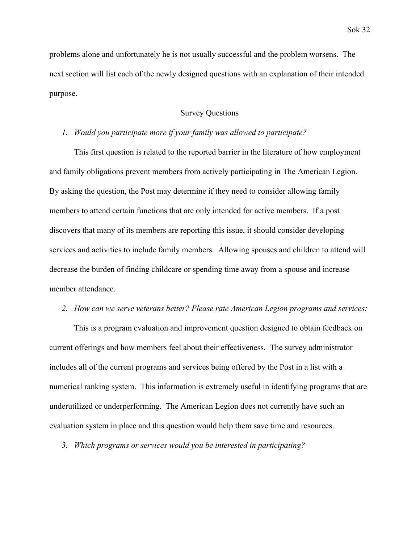problems alone and unfortunately he is not usually successful and the problem worsens. The next section will list each of the newly designed questions with an explanation of their intended purpose.

# Survey Questions

#### *1. Would you participate more if your family was allowed to participate?*

This first question is related to the reported barrier in the literature of how employment and family obligations prevent members from actively participating in The American Legion. By asking the question, the Post may determine if they need to consider allowing family members to attend certain functions that are only intended for active members. If a post discovers that many of its members are reporting this issue, it should consider developing services and activities to include family members. Allowing spouses and children to attend will decrease the burden of finding childcare or spending time away from a spouse and increase member attendance.

# *2. How can we serve veterans better? Please rate American Legion programs and services:*

This is a program evaluation and improvement question designed to obtain feedback on current offerings and how members feel about their effectiveness. The survey administrator includes all of the current programs and services being offered by the Post in a list with a numerical ranking system. This information is extremely useful in identifying programs that are underutilized or underperforming. The American Legion does not currently have such an evaluation system in place and this question would help them save time and resources.

*3. Which programs or services would you be interested in participating?*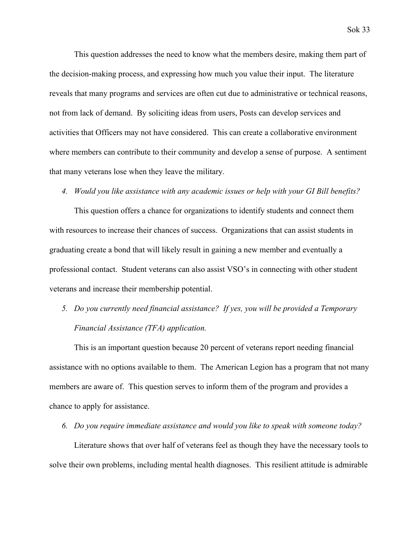This question addresses the need to know what the members desire, making them part of the decision-making process, and expressing how much you value their input. The literature reveals that many programs and services are often cut due to administrative or technical reasons, not from lack of demand. By soliciting ideas from users, Posts can develop services and activities that Officers may not have considered. This can create a collaborative environment where members can contribute to their community and develop a sense of purpose. A sentiment that many veterans lose when they leave the military.

#### *4. Would you like assistance with any academic issues or help with your GI Bill benefits?*

This question offers a chance for organizations to identify students and connect them with resources to increase their chances of success. Organizations that can assist students in graduating create a bond that will likely result in gaining a new member and eventually a professional contact. Student veterans can also assist VSO's in connecting with other student veterans and increase their membership potential.

# *5. Do you currently need financial assistance? If yes, you will be provided a Temporary Financial Assistance (TFA) application.*

This is an important question because 20 percent of veterans report needing financial assistance with no options available to them. The American Legion has a program that not many members are aware of. This question serves to inform them of the program and provides a chance to apply for assistance.

## *6. Do you require immediate assistance and would you like to speak with someone today?*

Literature shows that over half of veterans feel as though they have the necessary tools to solve their own problems, including mental health diagnoses. This resilient attitude is admirable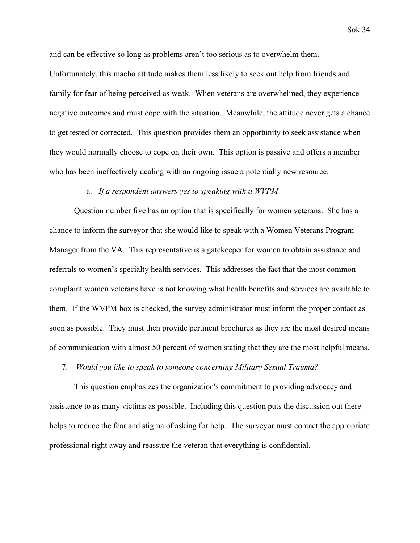and can be effective so long as problems aren't too serious as to overwhelm them.

Unfortunately, this macho attitude makes them less likely to seek out help from friends and family for fear of being perceived as weak. When veterans are overwhelmed, they experience negative outcomes and must cope with the situation. Meanwhile, the attitude never gets a chance to get tested or corrected. This question provides them an opportunity to seek assistance when they would normally choose to cope on their own. This option is passive and offers a member who has been ineffectively dealing with an ongoing issue a potentially new resource.

## a. *If a respondent answers yes to speaking with a WVPM*

Question number five has an option that is specifically for women veterans. She has a chance to inform the surveyor that she would like to speak with a Women Veterans Program Manager from the VA. This representative is a gatekeeper for women to obtain assistance and referrals to women's specialty health services. This addresses the fact that the most common complaint women veterans have is not knowing what health benefits and services are available to them. If the WVPM box is checked, the survey administrator must inform the proper contact as soon as possible. They must then provide pertinent brochures as they are the most desired means of communication with almost 50 percent of women stating that they are the most helpful means.

7. *Would you like to speak to someone concerning Military Sexual Trauma?*

This question emphasizes the organization's commitment to providing advocacy and assistance to as many victims as possible. Including this question puts the discussion out there helps to reduce the fear and stigma of asking for help. The surveyor must contact the appropriate professional right away and reassure the veteran that everything is confidential.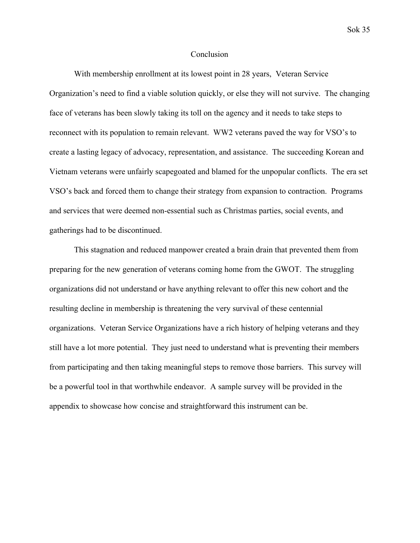## Conclusion

With membership enrollment at its lowest point in 28 years, Veteran Service Organization's need to find a viable solution quickly, or else they will not survive. The changing face of veterans has been slowly taking its toll on the agency and it needs to take steps to reconnect with its population to remain relevant. WW2 veterans paved the way for VSO's to create a lasting legacy of advocacy, representation, and assistance. The succeeding Korean and Vietnam veterans were unfairly scapegoated and blamed for the unpopular conflicts. The era set VSO's back and forced them to change their strategy from expansion to contraction. Programs and services that were deemed non-essential such as Christmas parties, social events, and gatherings had to be discontinued.

This stagnation and reduced manpower created a brain drain that prevented them from preparing for the new generation of veterans coming home from the GWOT. The struggling organizations did not understand or have anything relevant to offer this new cohort and the resulting decline in membership is threatening the very survival of these centennial organizations. Veteran Service Organizations have a rich history of helping veterans and they still have a lot more potential. They just need to understand what is preventing their members from participating and then taking meaningful steps to remove those barriers. This survey will be a powerful tool in that worthwhile endeavor. A sample survey will be provided in the appendix to showcase how concise and straightforward this instrument can be.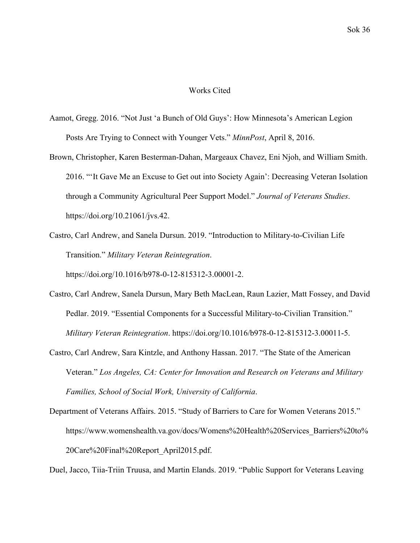## Works Cited

- [Aamot, Gregg. 2016. "Not Just 'a Bunch of Old Guys': How Minnesota's American Legion](http://paperpile.com/b/N8yLl3/i2qyU) [Posts Are Trying to Connect with Younger Vets."](http://paperpile.com/b/N8yLl3/i2qyU) *[MinnPost](http://paperpile.com/b/N8yLl3/i2qyU)*[, April 8, 2016.](http://paperpile.com/b/N8yLl3/i2qyU)
- [Brown, Christopher, Karen Besterman-Dahan, Margeaux Chavez, Eni Njoh, and William Smith.](http://paperpile.com/b/N8yLl3/MFhbS) [2016. "'It Gave Me an Excuse to Get out into Society Again': Decreasing Veteran Isolation](http://paperpile.com/b/N8yLl3/MFhbS) [through a Community Agricultural Peer Support Model."](http://paperpile.com/b/N8yLl3/MFhbS) *[Journal of Veterans Studies](http://paperpile.com/b/N8yLl3/MFhbS)*[.](http://paperpile.com/b/N8yLl3/MFhbS) [https://doi.org/](http://paperpile.com/b/N8yLl3/MFhbS)[10.21061/jvs.42](http://dx.doi.org/10.21061/jvs.42)[.](http://paperpile.com/b/N8yLl3/MFhbS)

[Castro, Carl Andrew, and Sanela Dursun. 2019. "Introduction to Military-to-Civilian Life](http://paperpile.com/b/N8yLl3/ANvvI) [Transition."](http://paperpile.com/b/N8yLl3/ANvvI) *[Military Veteran Reintegration](http://paperpile.com/b/N8yLl3/ANvvI)*[.](http://paperpile.com/b/N8yLl3/ANvvI) [https://doi.org/](http://paperpile.com/b/N8yLl3/ANvvI)[10.1016/b978-0-12-815312-3.00001-2](http://dx.doi.org/10.1016/b978-0-12-815312-3.00001-2)[.](http://paperpile.com/b/N8yLl3/ANvvI)

- [Castro, Carl Andrew, Sanela Dursun, Mary Beth MacLean, Raun Lazier, Matt Fossey, and David](http://paperpile.com/b/N8yLl3/EunqE) [Pedlar. 2019. "Essential Components for a Successful Military-to-Civilian Transition."](http://paperpile.com/b/N8yLl3/EunqE) *[Military Veteran Reintegration](http://paperpile.com/b/N8yLl3/EunqE)*[. https://doi.org/](http://paperpile.com/b/N8yLl3/EunqE)[10.1016/b978-0-12-815312-3.00011-5](http://dx.doi.org/10.1016/b978-0-12-815312-3.00011-5)[.](http://paperpile.com/b/N8yLl3/EunqE)
- [Castro, Carl Andrew, Sara Kintzle, and Anthony Hassan. 2017. "The State of the American](http://paperpile.com/b/N8yLl3/Oz5bw) [Veteran."](http://paperpile.com/b/N8yLl3/Oz5bw) *[Los Angeles, CA: Center for Innovation and Research on Veterans and Military](http://paperpile.com/b/N8yLl3/Oz5bw) [Families, School of Social Work, University of California](http://paperpile.com/b/N8yLl3/Oz5bw)*[.](http://paperpile.com/b/N8yLl3/Oz5bw)
- [Department of Veterans Affairs. 2015. "Study of Barriers to Care for Women Veterans 2015."](http://paperpile.com/b/N8yLl3/Y2XTM) [https://www.womenshealth.va.gov/docs/Womens%20Health%20Services\\_Barriers%20to%](https://www.womenshealth.va.gov/docs/Womens%20Health%20Services_Barriers%20to%20Care%20Final%20Report_April2015.pdf) [20Care%20Final%20Report\\_April2015.pdf](https://www.womenshealth.va.gov/docs/Womens%20Health%20Services_Barriers%20to%20Care%20Final%20Report_April2015.pdf)[.](http://paperpile.com/b/N8yLl3/Y2XTM)

[Duel, Jacco, Tiia-Triin Truusa, and Martin Elands. 2019. "Public Support for Veterans Leaving](http://paperpile.com/b/N8yLl3/4kQuk)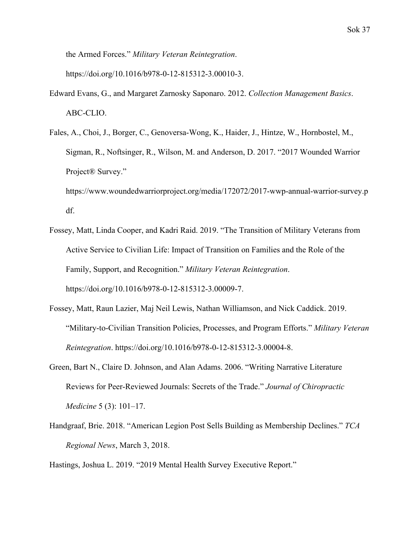[the Armed Forces."](http://paperpile.com/b/N8yLl3/4kQuk) *[Military Veteran Reintegration](http://paperpile.com/b/N8yLl3/4kQuk)*[.](http://paperpile.com/b/N8yLl3/4kQuk)

[https://doi.org/](http://paperpile.com/b/N8yLl3/4kQuk)[10.1016/b978-0-12-815312-3.00010-3](http://dx.doi.org/10.1016/b978-0-12-815312-3.00010-3)[.](http://paperpile.com/b/N8yLl3/4kQuk)

- [Edward Evans, G., and Margaret Zarnosky Saponaro. 2012.](http://paperpile.com/b/YhHUff/EZ6u) *[Collection Management Basics](http://paperpile.com/b/YhHUff/EZ6u)*[.](http://paperpile.com/b/YhHUff/EZ6u) [ABC-CLIO.](http://paperpile.com/b/YhHUff/EZ6u)
- [Fales, A., Choi, J., Borger, C., Genoversa-Wong, K., Haider, J., Hintze, W., Hornbostel, M.,](http://paperpile.com/b/N8yLl3/URN7U) [Sigman, R., Noftsinger, R., Wilson, M. and Anderson, D. 2017. "2017 Wounded Warrior](http://paperpile.com/b/N8yLl3/URN7U) [Project® Survey."](http://paperpile.com/b/N8yLl3/URN7U)

[https://www.woundedwarriorproject.org/media/172072/2017-wwp-annual-warrior-survey.p](https://www.woundedwarriorproject.org/media/172072/2017-wwp-annual-warrior-survey.pdf) [df](https://www.woundedwarriorproject.org/media/172072/2017-wwp-annual-warrior-survey.pdf)[.](http://paperpile.com/b/N8yLl3/URN7U)

- [Fossey, Matt, Linda Cooper, and Kadri Raid. 2019. "The Transition of Military Veterans from](http://paperpile.com/b/N8yLl3/geTts) [Active Service to Civilian Life: Impact of Transition on Families and the Role of the](http://paperpile.com/b/N8yLl3/geTts) [Family, Support, and Recognition."](http://paperpile.com/b/N8yLl3/geTts) *[Military Veteran Reintegration](http://paperpile.com/b/N8yLl3/geTts)*[.](http://paperpile.com/b/N8yLl3/geTts) [https://doi.org/](http://paperpile.com/b/N8yLl3/geTts)[10.1016/b978-0-12-815312-3.00009-7](http://dx.doi.org/10.1016/b978-0-12-815312-3.00009-7)[.](http://paperpile.com/b/N8yLl3/geTts)
- [Fossey, Matt, Raun Lazier, Maj Neil Lewis, Nathan Williamson, and Nick Caddick. 2019.](http://paperpile.com/b/N8yLl3/mXiQE) ["Military-to-Civilian Transition Policies, Processes, and Program Efforts."](http://paperpile.com/b/N8yLl3/mXiQE) *[Military Veteran](http://paperpile.com/b/N8yLl3/mXiQE) [Reintegration](http://paperpile.com/b/N8yLl3/mXiQE)*[. https://doi.org/](http://paperpile.com/b/N8yLl3/mXiQE)[10.1016/b978-0-12-815312-3.00004-8](http://dx.doi.org/10.1016/b978-0-12-815312-3.00004-8)[.](http://paperpile.com/b/N8yLl3/mXiQE)
- [Green, Bart N., Claire D. Johnson, and Alan Adams. 2006. "Writing Narrative Literature](http://paperpile.com/b/g8ikKZ/oSb8) [Reviews for Peer-Reviewed Journals: Secrets of the Trade."](http://paperpile.com/b/g8ikKZ/oSb8) *[Journal of Chiropractic](http://paperpile.com/b/g8ikKZ/oSb8) [Medicine](http://paperpile.com/b/g8ikKZ/oSb8)* [5 \(3\): 101–17.](http://paperpile.com/b/g8ikKZ/oSb8)
- [Handgraaf, Brie. 2018. "American Legion Post Sells Building as Membership Declines."](http://paperpile.com/b/N8yLl3/CFXD3) *[TCA](http://paperpile.com/b/N8yLl3/CFXD3) [Regional News](http://paperpile.com/b/N8yLl3/CFXD3)*[, March 3, 2018.](http://paperpile.com/b/N8yLl3/CFXD3)

[Hastings, Joshua L. 2019. "2019 Mental Health Survey Executive Report."](http://paperpile.com/b/N8yLl3/oaURq)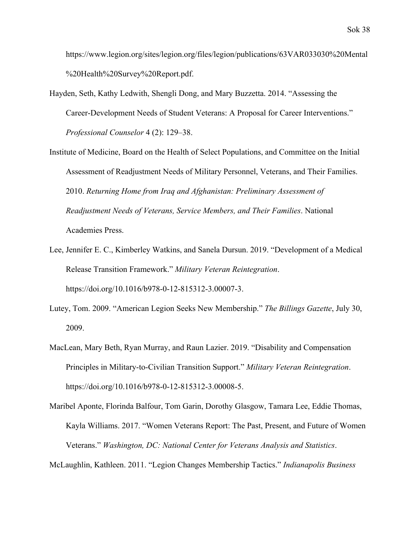[https://www.legion.org/sites/legion.org/files/legion/publications/63VAR033030%20Mental](https://www.legion.org/sites/legion.org/files/legion/publications/63VAR033030%20Mental%20Health%20Survey%20Report.pdf) [%20Health%20Survey%20Report.pdf](https://www.legion.org/sites/legion.org/files/legion/publications/63VAR033030%20Mental%20Health%20Survey%20Report.pdf)[.](http://paperpile.com/b/N8yLl3/oaURq)

- [Hayden, Seth, Kathy Ledwith, Shengli Dong, and Mary Buzzetta. 2014. "Assessing the](http://paperpile.com/b/N8yLl3/7cEtl) [Career-Development Needs of Student Veterans: A Proposal for Career Interventions."](http://paperpile.com/b/N8yLl3/7cEtl) *[Professional Counselor](http://paperpile.com/b/N8yLl3/7cEtl)* [4 \(2\): 129–38.](http://paperpile.com/b/N8yLl3/7cEtl)
- [Institute of Medicine, Board on the Health of Select Populations, and Committee on the Initial](http://paperpile.com/b/N8yLl3/2r7qC) [Assessment of Readjustment Needs of Military Personnel, Veterans, and Their Families.](http://paperpile.com/b/N8yLl3/2r7qC) [2010.](http://paperpile.com/b/N8yLl3/2r7qC) *[Returning Home from Iraq and Afghanistan: Preliminary Assessment of](http://paperpile.com/b/N8yLl3/2r7qC) [Readjustment Needs of Veterans, Service Members, and Their Families](http://paperpile.com/b/N8yLl3/2r7qC)*[. National](http://paperpile.com/b/N8yLl3/2r7qC) [Academies Press.](http://paperpile.com/b/N8yLl3/2r7qC)
- [Lee, Jennifer E. C., Kimberley Watkins, and Sanela Dursun. 2019. "Development of a Medical](http://paperpile.com/b/N8yLl3/Er1ZZ) [Release Transition Framework."](http://paperpile.com/b/N8yLl3/Er1ZZ) *[Military Veteran Reintegration](http://paperpile.com/b/N8yLl3/Er1ZZ)*[.](http://paperpile.com/b/N8yLl3/Er1ZZ) [https://doi.org/](http://paperpile.com/b/N8yLl3/Er1ZZ)[10.1016/b978-0-12-815312-3.00007-3](http://dx.doi.org/10.1016/b978-0-12-815312-3.00007-3)[.](http://paperpile.com/b/N8yLl3/Er1ZZ)
- [Lutey, Tom. 2009. "American Legion Seeks New Membership."](http://paperpile.com/b/N8yLl3/5ygaL) *[The Billings Gazette](http://paperpile.com/b/N8yLl3/5ygaL)*[, July 30,](http://paperpile.com/b/N8yLl3/5ygaL) [2009.](http://paperpile.com/b/N8yLl3/5ygaL)
- [MacLean, Mary Beth, Ryan Murray, and Raun Lazier. 2019. "Disability and Compensation](http://paperpile.com/b/N8yLl3/j3Zos) [Principles in Military-to-Civilian Transition Support."](http://paperpile.com/b/N8yLl3/j3Zos) *[Military Veteran Reintegration](http://paperpile.com/b/N8yLl3/j3Zos)*[.](http://paperpile.com/b/N8yLl3/j3Zos) [https://doi.org/](http://paperpile.com/b/N8yLl3/j3Zos)[10.1016/b978-0-12-815312-3.00008-5](http://dx.doi.org/10.1016/b978-0-12-815312-3.00008-5)[.](http://paperpile.com/b/N8yLl3/j3Zos)
- [Maribel Aponte, Florinda Balfour, Tom Garin, Dorothy Glasgow, Tamara Lee, Eddie Thomas,](http://paperpile.com/b/N8yLl3/BQJwb) [Kayla Williams. 2017. "Women Veterans Report: The Past, Present, and Future of Women](http://paperpile.com/b/N8yLl3/BQJwb) [Veterans."](http://paperpile.com/b/N8yLl3/BQJwb) *[Washington, DC: National Center for Veterans Analysis and Statistics](http://paperpile.com/b/N8yLl3/BQJwb)*[.](http://paperpile.com/b/N8yLl3/BQJwb)

[McLaughlin, Kathleen. 2011. "Legion Changes Membership Tactics."](http://paperpile.com/b/N8yLl3/vHbCK) *[Indianapolis Business](http://paperpile.com/b/N8yLl3/vHbCK)*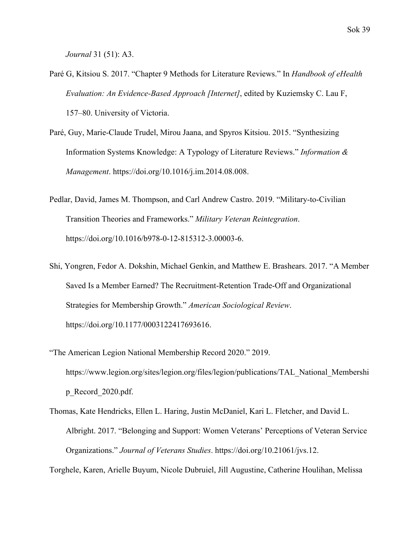*[Journal](http://paperpile.com/b/N8yLl3/vHbCK)* [31 \(51\): A3.](http://paperpile.com/b/N8yLl3/vHbCK)

- [Paré G, Kitsiou S. 2017. "Chapter 9 Methods for Literature Reviews." In](http://paperpile.com/b/g8ikKZ/Fi15) *[Handbook of eHealth](http://paperpile.com/b/g8ikKZ/Fi15) [Evaluation: An Evidence-Based Approach \[Internet\]](http://paperpile.com/b/g8ikKZ/Fi15)*[, edited by Kuziemsky C. Lau F,](http://paperpile.com/b/g8ikKZ/Fi15) [157–80. University of Victoria.](http://paperpile.com/b/g8ikKZ/Fi15)
- [Paré, Guy, Marie-Claude Trudel, Mirou Jaana, and Spyros Kitsiou. 2015. "Synthesizing](http://paperpile.com/b/g8ikKZ/YWRT) [Information Systems Knowledge: A Typology of Literature Reviews."](http://paperpile.com/b/g8ikKZ/YWRT) *[Information &](http://paperpile.com/b/g8ikKZ/YWRT) [Management](http://paperpile.com/b/g8ikKZ/YWRT)*[. https://doi.org/](http://paperpile.com/b/g8ikKZ/YWRT)[10.1016/j.im.2014.08.008](http://dx.doi.org/10.1016/j.im.2014.08.008)[.](http://paperpile.com/b/g8ikKZ/YWRT)
- [Pedlar, David, James M. Thompson, and Carl Andrew Castro. 2019. "Military-to-Civilian](http://paperpile.com/b/N8yLl3/7jlyv) [Transition Theories and Frameworks."](http://paperpile.com/b/N8yLl3/7jlyv) *[Military Veteran Reintegration](http://paperpile.com/b/N8yLl3/7jlyv)*[.](http://paperpile.com/b/N8yLl3/7jlyv) [https://doi.org/](http://paperpile.com/b/N8yLl3/7jlyv)[10.1016/b978-0-12-815312-3.00003-6](http://dx.doi.org/10.1016/b978-0-12-815312-3.00003-6)[.](http://paperpile.com/b/N8yLl3/7jlyv)
- [Shi, Yongren, Fedor A. Dokshin, Michael Genkin, and Matthew E. Brashears. 2017. "A Member](http://paperpile.com/b/N8yLl3/XFyRg) [Saved Is a Member Earned? The Recruitment-Retention Trade-Off and Organizational](http://paperpile.com/b/N8yLl3/XFyRg) [Strategies for Membership Growth."](http://paperpile.com/b/N8yLl3/XFyRg) *[American Sociological Review](http://paperpile.com/b/N8yLl3/XFyRg)*[.](http://paperpile.com/b/N8yLl3/XFyRg) [https://doi.org/](http://paperpile.com/b/N8yLl3/XFyRg)[10.1177/0003122417693616](http://dx.doi.org/10.1177/0003122417693616)[.](http://paperpile.com/b/N8yLl3/XFyRg)
- ["The American Legion National Membership Record 2020." 2019.](http://paperpile.com/b/N8yLl3/N26J) [https://www.legion.org/sites/legion.org/files/legion/publications/TAL\\_National\\_Membershi](https://www.legion.org/sites/legion.org/files/legion/publications/TAL_National_Membership_Record_2020.pdf) [p\\_Record\\_2020.pdf](https://www.legion.org/sites/legion.org/files/legion/publications/TAL_National_Membership_Record_2020.pdf)[.](http://paperpile.com/b/N8yLl3/N26J)
- [Thomas, Kate Hendricks, Ellen L. Haring, Justin McDaniel, Kari L. Fletcher, and David L.](http://paperpile.com/b/N8yLl3/o3Y1c) [Albright. 2017. "Belonging and Support: Women Veterans' Perceptions of Veteran Service](http://paperpile.com/b/N8yLl3/o3Y1c) [Organizations."](http://paperpile.com/b/N8yLl3/o3Y1c) *[Journal of Veterans Studies](http://paperpile.com/b/N8yLl3/o3Y1c)*[. https://doi.org/](http://paperpile.com/b/N8yLl3/o3Y1c)[10.21061/jvs.12](http://dx.doi.org/10.21061/jvs.12)[.](http://paperpile.com/b/N8yLl3/o3Y1c)

[Torghele, Karen, Arielle Buyum, Nicole Dubruiel, Jill Augustine, Catherine Houlihan, Melissa](http://paperpile.com/b/N8yLl3/9Ny5F)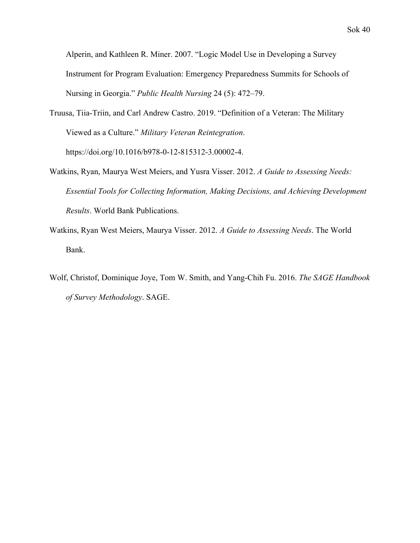[Alperin, and Kathleen R. Miner. 2007. "Logic Model Use in Developing a Survey](http://paperpile.com/b/N8yLl3/9Ny5F) [Instrument for Program Evaluation: Emergency Preparedness Summits for Schools of](http://paperpile.com/b/N8yLl3/9Ny5F) [Nursing in Georgia."](http://paperpile.com/b/N8yLl3/9Ny5F) *[Public Health Nursing](http://paperpile.com/b/N8yLl3/9Ny5F)* [24 \(5\): 472–79.](http://paperpile.com/b/N8yLl3/9Ny5F)

- [Truusa, Tiia-Triin, and Carl Andrew Castro. 2019. "Definition of a Veteran: The Military](http://paperpile.com/b/N8yLl3/YLbQb) [Viewed as a Culture."](http://paperpile.com/b/N8yLl3/YLbQb) *[Military Veteran Reintegration](http://paperpile.com/b/N8yLl3/YLbQb)*[.](http://paperpile.com/b/N8yLl3/YLbQb) [https://doi.org/](http://paperpile.com/b/N8yLl3/YLbQb)[10.1016/b978-0-12-815312-3.00002-4](http://dx.doi.org/10.1016/b978-0-12-815312-3.00002-4)[.](http://paperpile.com/b/N8yLl3/YLbQb)
- [Watkins, Ryan, Maurya West Meiers, and Yusra Visser. 2012.](http://paperpile.com/b/N8yLl3/WSc5D) *[A Guide to Assessing Needs:](http://paperpile.com/b/N8yLl3/WSc5D) [Essential Tools for Collecting Information, Making Decisions, and Achieving Development](http://paperpile.com/b/N8yLl3/WSc5D) [Results](http://paperpile.com/b/N8yLl3/WSc5D)*[. World Bank Publications.](http://paperpile.com/b/N8yLl3/WSc5D)
- [Watkins, Ryan West Meiers, Maurya Visser. 2012.](http://paperpile.com/b/YhHUff/KhdJ) *[A Guide to Assessing Needs](http://paperpile.com/b/YhHUff/KhdJ)*[. The World](http://paperpile.com/b/YhHUff/KhdJ) [Bank.](http://paperpile.com/b/YhHUff/KhdJ)
- [Wolf, Christof, Dominique Joye, Tom W. Smith, and Yang-Chih Fu. 2016.](http://paperpile.com/b/N8yLl3/Kk68e) *[The SAGE Handbook](http://paperpile.com/b/N8yLl3/Kk68e) [of Survey Methodology](http://paperpile.com/b/N8yLl3/Kk68e)*[. SAGE.](http://paperpile.com/b/N8yLl3/Kk68e)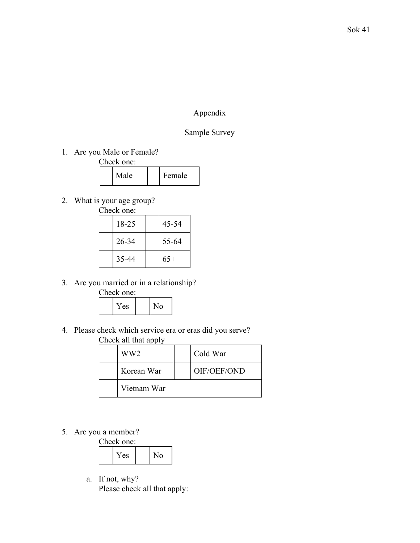# Appendix

# Sample Survey

1. Are you Male or Female?

Check one:

| Male<br>Female |
|----------------|
|----------------|

2. What is your age group?<br>Check one:<br> $\sqrt{\frac{18-25}{18-25}}$ 

| Check one: |  |
|------------|--|
|            |  |

| 18-25 | 45-54 |
|-------|-------|
| 26-34 | 55-64 |
| 35-44 | $65+$ |

3. Are you married or in a relationship?

Check one:

| ∕ ⊖ ⊘ |  |  |
|-------|--|--|
|-------|--|--|

4. Please check which service era or eras did you serve? Check all that apply

| $\frac{1}{2}$ |                 |  |             |  |  |  |
|---------------|-----------------|--|-------------|--|--|--|
|               | WW <sub>2</sub> |  | Cold War    |  |  |  |
|               | Korean War      |  | OIF/OEF/OND |  |  |  |
|               | Vietnam War     |  |             |  |  |  |

5. Are you a member?

| Check one: |  |                |  |  |  |  |  |  |
|------------|--|----------------|--|--|--|--|--|--|
| Yes        |  | N <sub>0</sub> |  |  |  |  |  |  |

a. If not, why? Please check all that apply: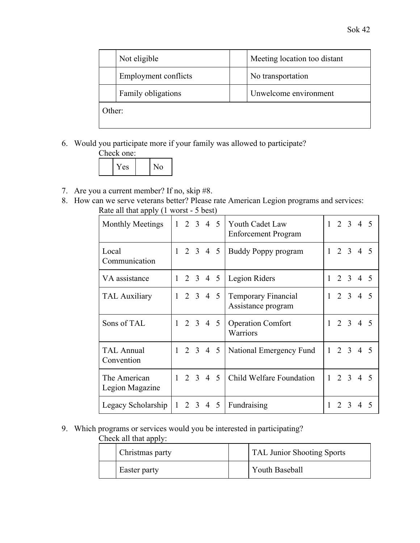|        | Not eligible         | Meeting location too distant |
|--------|----------------------|------------------------------|
|        | Employment conflicts | No transportation            |
|        | Family obligations   | Unwelcome environment        |
| Other: |                      |                              |

6. Would you participate more if your family was allowed to participate?



- 7. Are you a current member? If no, skip #8.
- 8. How can we serve veterans better? Please rate American Legion programs and services: Rate all that apply (1 worst - 5 best)

| <b>Monthly Meetings</b>         |              |                | $1 \t2 \t3 \t4 \t5$ |   | Youth Cadet Law<br><b>Enforcement Program</b>    |              |                   |                  | $1 \t2 \t3 \t4 \t5$ |  |
|---------------------------------|--------------|----------------|---------------------|---|--------------------------------------------------|--------------|-------------------|------------------|---------------------|--|
| Local<br>Communication          |              |                | $1 \t2 \t3 \t4 \t5$ |   | <b>Buddy Poppy program</b>                       |              |                   |                  | $1 \t2 \t3 \t4 \t5$ |  |
| VA assistance                   |              |                | $1 \t2 \t3 \t4 \t5$ |   | Legion Riders                                    |              |                   |                  | $1 \t2 \t3 \t4 \t5$ |  |
| <b>TAL Auxiliary</b>            |              |                | $1 \t2 \t3 \t4 \t5$ |   | <b>Temporary Financial</b><br>Assistance program | $\mathbf{1}$ |                   | 2 <sub>3</sub>   | 4 5                 |  |
| Sons of TAL                     | 1            |                | 2 3 4 5             |   | <b>Operation Comfort</b><br>Warriors             |              | 2 <sub>3</sub>    |                  | 4 5                 |  |
| <b>TAL Annual</b><br>Convention |              |                | $1 \t2 \t3 \t4 \t5$ |   | National Emergency Fund                          | $1 \quad$    |                   | $2 \overline{3}$ | 4 5                 |  |
| The American<br>Legion Magazine | $\mathbf{1}$ |                | $2 \t3 \t4$         | 5 | Child Welfare Foundation                         |              | $1\quad 2\quad 3$ |                  | $4\overline{5}$     |  |
| Legacy Scholarship              | $\mathbf{1}$ | 2 <sup>3</sup> | 4                   | 5 | Fundraising                                      |              |                   | 2 3              | 4                   |  |

# 9. Which programs or services would you be interested in participating?

Check all that apply:

| Christmas party | <b>TAL Junior Shooting Sports</b> |
|-----------------|-----------------------------------|
| Easter party    | Youth Baseball                    |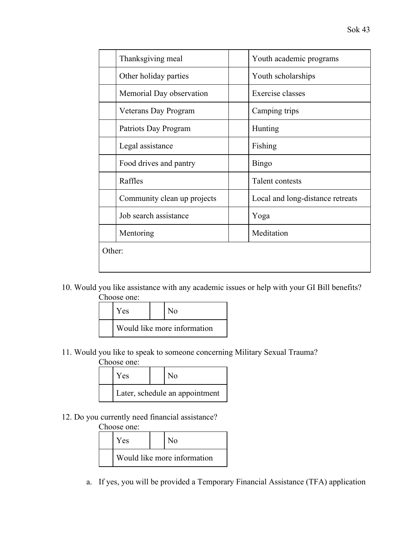|        | Thanksgiving meal           | Youth academic programs          |
|--------|-----------------------------|----------------------------------|
|        | Other holiday parties       | Youth scholarships               |
|        | Memorial Day observation    | Exercise classes                 |
|        | Veterans Day Program        | Camping trips                    |
|        | Patriots Day Program        | Hunting                          |
|        | Legal assistance            | Fishing                          |
|        | Food drives and pantry      | <b>Bingo</b>                     |
|        | Raffles                     | Talent contests                  |
|        | Community clean up projects | Local and long-distance retreats |
|        | Job search assistance       | Yoga                             |
|        | Mentoring                   | Meditation                       |
| Other: |                             |                                  |
|        |                             |                                  |

10. Would you like assistance with any academic issues or help with your GI Bill benefits? Choose one:

| <b>Yes</b>                  |  | $N_{\Omega}$ |  |  |  |
|-----------------------------|--|--------------|--|--|--|
| Would like more information |  |              |  |  |  |

11. Would you like to speak to someone concerning Military Sexual Trauma?

# Choose one:

| Yes                            |  | N٥ |  |  |  |  |  |
|--------------------------------|--|----|--|--|--|--|--|
| Later, schedule an appointment |  |    |  |  |  |  |  |

12. Do you currently need financial assistance?

## Choose one:

| Yes                         |  | N٥ |  |
|-----------------------------|--|----|--|
| Would like more information |  |    |  |

a. If yes, you will be provided a Temporary Financial Assistance (TFA) application